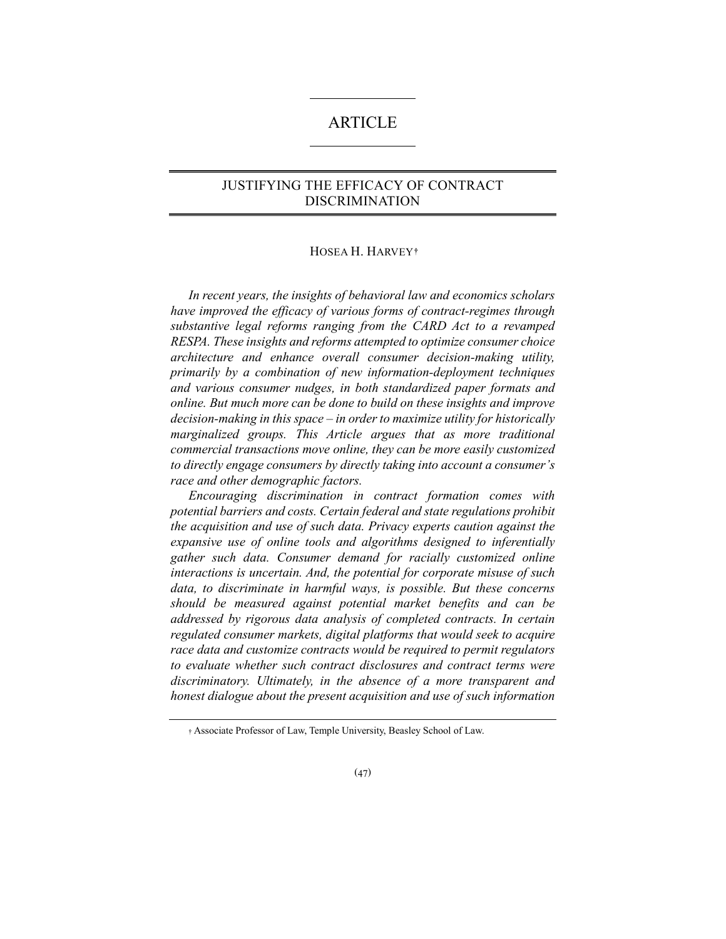# ARTICLE

# JUSTIFYING THE EFFICACY OF CONTRACT DISCRIMINATION

#### HOSEA H. HARVEY**[†](#page-0-0)**

*In recent years, the insights of behavioral law and economics scholars have improved the efficacy of various forms of contract-regimes through substantive legal reforms ranging from the CARD Act to a revamped RESPA. These insights and reforms attempted to optimize consumer choice architecture and enhance overall consumer decision-making utility, primarily by a combination of new information-deployment techniques and various consumer nudges, in both standardized paper formats and online. But much more can be done to build on these insights and improve decision-making in this space – in order to maximize utility for historically marginalized groups. This Article argues that as more traditional commercial transactions move online, they can be more easily customized to directly engage consumers by directly taking into account a consumer's race and other demographic factors.*

*Encouraging discrimination in contract formation comes with potential barriers and costs. Certain federal and state regulations prohibit the acquisition and use of such data. Privacy experts caution against the expansive use of online tools and algorithms designed to inferentially gather such data. Consumer demand for racially customized online interactions is uncertain. And, the potential for corporate misuse of such data, to discriminate in harmful ways, is possible. But these concerns should be measured against potential market benefits and can be addressed by rigorous data analysis of completed contracts. In certain regulated consumer markets, digital platforms that would seek to acquire race data and customize contracts would be required to permit regulators to evaluate whether such contract disclosures and contract terms were discriminatory. Ultimately, in the absence of a more transparent and honest dialogue about the present acquisition and use of such information* 

<span id="page-0-0"></span><sup>†</sup> Associate Professor of Law, Temple University, Beasley School of Law.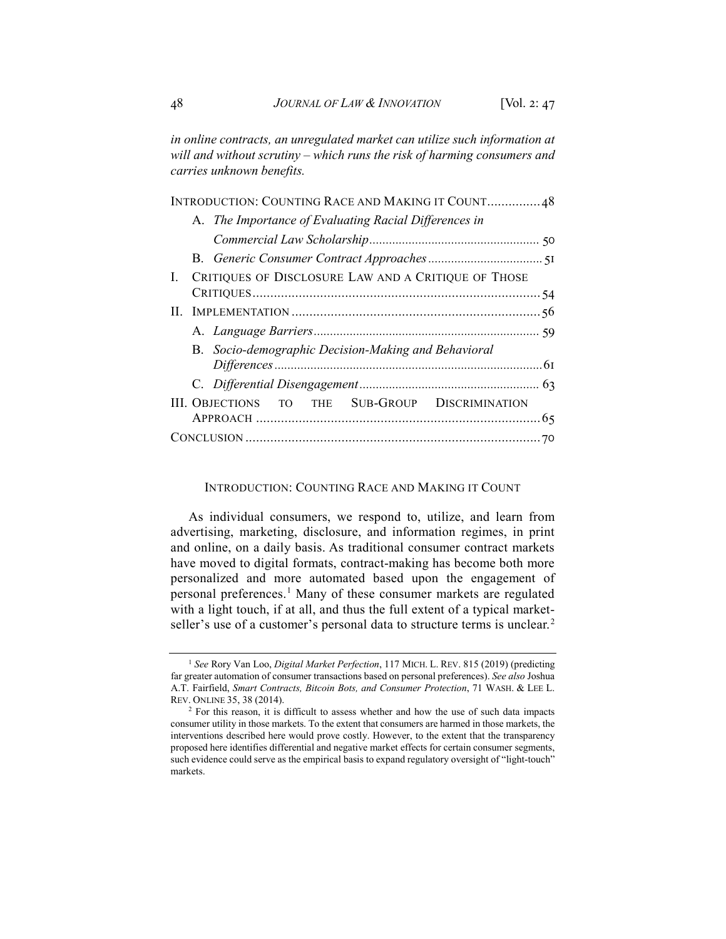*in online contracts, an unregulated market can utilize such information at will and without scrutiny – which runs the risk of harming consumers and carries unknown benefits.*

|    |                                                     | INTRODUCTION: COUNTING RACE AND MAKING IT COUNT 48    |  |  |
|----|-----------------------------------------------------|-------------------------------------------------------|--|--|
|    |                                                     | A. The Importance of Evaluating Racial Differences in |  |  |
|    |                                                     |                                                       |  |  |
|    |                                                     |                                                       |  |  |
| L. | CRITIQUES OF DISCLOSURE LAW AND A CRITIQUE OF THOSE |                                                       |  |  |
|    |                                                     |                                                       |  |  |
|    |                                                     |                                                       |  |  |
|    |                                                     |                                                       |  |  |
|    | B. Socio-demographic Decision-Making and Behavioral |                                                       |  |  |
|    |                                                     |                                                       |  |  |
|    |                                                     | III. OBJECTIONS TO THE SUB-GROUP DISCRIMINATION       |  |  |
|    |                                                     |                                                       |  |  |

# INTRODUCTION: COUNTING RACE AND MAKING IT COUNT

As individual consumers, we respond to, utilize, and learn from advertising, marketing, disclosure, and information regimes, in print and online, on a daily basis. As traditional consumer contract markets have moved to digital formats, contract-making has become both more personalized and more automated based upon the engagement of personal preferences.[1](#page-1-0) Many of these consumer markets are regulated with a light touch, if at all, and thus the full extent of a typical market-seller's use of a customer's personal data to structure terms is unclear.<sup>[2](#page-1-1)</sup>

<span id="page-1-0"></span><sup>&</sup>lt;sup>1</sup> See Rory Van Loo, *Digital Market Perfection*, 117 MICH. L. REV. 815 (2019) (predicting far greater automation of consumer transactions based on personal preferences). *See also* Joshua A.T. Fairfield, *Smart Contracts, Bitcoin Bots, and Consumer Protection*, 71 WASH. & LEE L. REV. ONLINE 35, 38 (2014).

<span id="page-1-1"></span><sup>&</sup>lt;sup>2</sup> For this reason, it is difficult to assess whether and how the use of such data impacts consumer utility in those markets. To the extent that consumers are harmed in those markets, the interventions described here would prove costly. However, to the extent that the transparency proposed here identifies differential and negative market effects for certain consumer segments, such evidence could serve as the empirical basis to expand regulatory oversight of "light-touch" markets.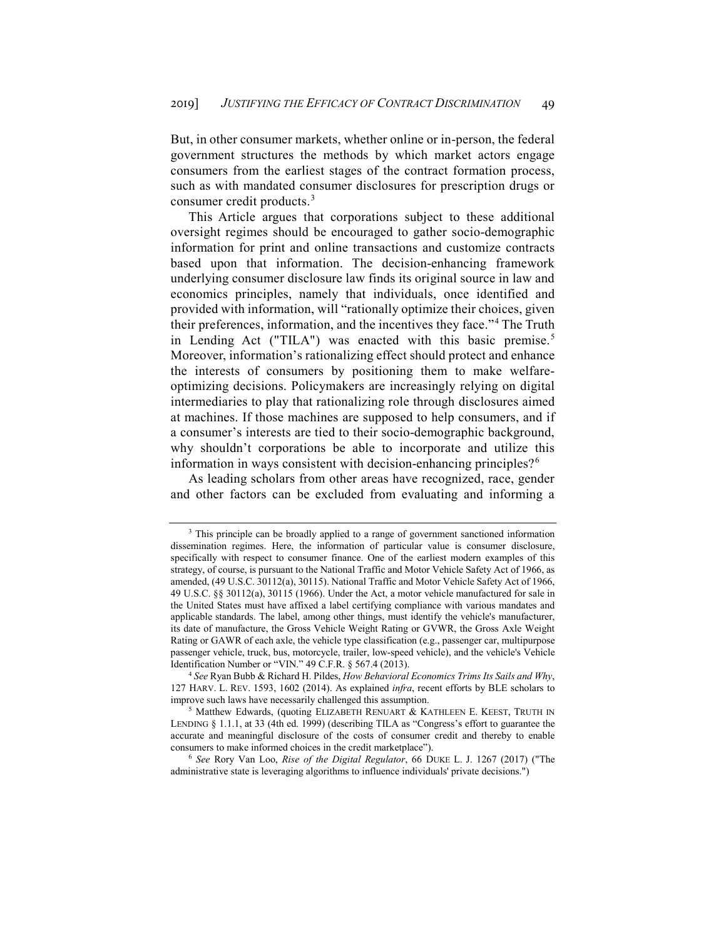But, in other consumer markets, whether online or in-person, the federal government structures the methods by which market actors engage consumers from the earliest stages of the contract formation process, such as with mandated consumer disclosures for prescription drugs or consumer credit products.[3](#page-2-0)

This Article argues that corporations subject to these additional oversight regimes should be encouraged to gather socio-demographic information for print and online transactions and customize contracts based upon that information. The decision-enhancing framework underlying consumer disclosure law finds its original source in law and economics principles, namely that individuals, once identified and provided with information, will "rationally optimize their choices, given their preferences, information, and the incentives they face."[4](#page-2-1) The Truth in Lending Act ("TILA") was enacted with this basic premise.<sup>[5](#page-2-2)</sup> Moreover, information's rationalizing effect should protect and enhance the interests of consumers by positioning them to make welfareoptimizing decisions. Policymakers are increasingly relying on digital intermediaries to play that rationalizing role through disclosures aimed at machines. If those machines are supposed to help consumers, and if a consumer's interests are tied to their socio-demographic background, why shouldn't corporations be able to incorporate and utilize this information in ways consistent with decision-enhancing principles?<sup>[6](#page-2-3)</sup>

As leading scholars from other areas have recognized, race, gender and other factors can be excluded from evaluating and informing a

<span id="page-2-0"></span><sup>&</sup>lt;sup>3</sup> This principle can be broadly applied to a range of government sanctioned information dissemination regimes. Here, the information of particular value is consumer disclosure, specifically with respect to consumer finance. One of the earliest modern examples of this strategy, of course, is pursuant to the National Traffic and Motor Vehicle Safety Act of 1966, as amended, (49 U.S.C. 30112(a), 30115). National Traffic and Motor Vehicle Safety Act of 1966, 49 U.S.C. §§ 30112(a), 30115 (1966). Under the Act, a motor vehicle manufactured for sale in the United States must have affixed a label certifying compliance with various mandates and applicable standards. The label, among other things, must identify the vehicle's manufacturer, its date of manufacture, the Gross Vehicle Weight Rating or GVWR, the Gross Axle Weight Rating or GAWR of each axle, the vehicle type classification (e.g., passenger car, multipurpose passenger vehicle, truck, bus, motorcycle, trailer, low-speed vehicle), and the vehicle's Vehicle Identification Number or "VIN." 49 C.F.R. § 567.4 (2013).

<span id="page-2-1"></span><sup>&</sup>lt;sup>4</sup> See Ryan Bubb & Richard H. Pildes, *How Behavioral Economics Trims Its Sails and Why*, 127 HARV. L. REV. 1593, 1602 (2014). As explained *infra*, recent efforts by BLE scholars to improve such laws have necessarily challenged this assumption. 5 Matthew Edwards, (quoting ELIZABETH RENUART & KATHLEEN E. KEEST, TRUTH IN

<span id="page-2-2"></span>LENDING § 1.1.1, at 33 (4th ed. 1999) (describing TILA as "Congress's effort to guarantee the accurate and meaningful disclosure of the costs of consumer credit and thereby to enable consumers to make informed choices in the credit marketplace").

<span id="page-2-3"></span><sup>6</sup> *See* Rory Van Loo, *Rise of the Digital Regulator*, 66 DUKE L. J. 1267 (2017) ("The administrative state is leveraging algorithms to influence individuals' private decisions.")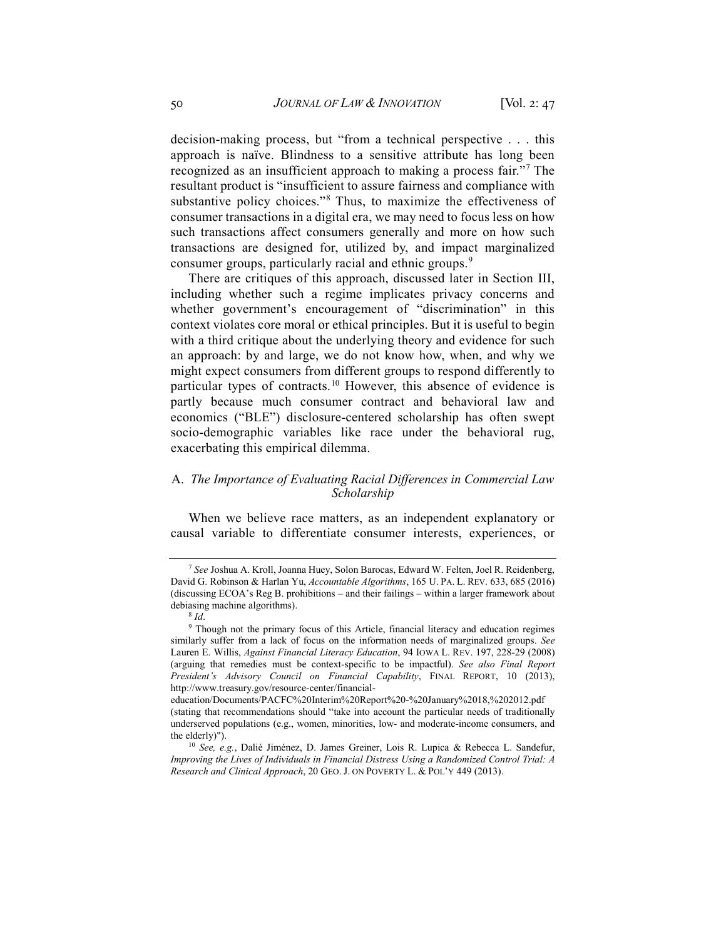decision-making process, but "from a technical perspective . . . this approach is naïve. Blindness to a sensitive attribute has long been recognized as an insufficient approach to making a process fair."[7](#page-3-0) The resultant product is "insufficient to assure fairness and compliance with substantive policy choices."[8](#page-3-1) Thus, to maximize the effectiveness of consumer transactions in a digital era, we may need to focus less on how such transactions affect consumers generally and more on how such transactions are designed for, utilized by, and impact marginalized consumer groups, particularly racial and ethnic groups.<sup>[9](#page-3-2)</sup>

There are critiques of this approach, discussed later in Section III, including whether such a regime implicates privacy concerns and whether government's encouragement of "discrimination" in this context violates core moral or ethical principles. But it is useful to begin with a third critique about the underlying theory and evidence for such an approach: by and large, we do not know how, when, and why we might expect consumers from different groups to respond differently to particular types of contracts.[10](#page-3-3) However, this absence of evidence is partly because much consumer contract and behavioral law and economics ("BLE") disclosure-centered scholarship has often swept socio-demographic variables like race under the behavioral rug, exacerbating this empirical dilemma.

## A. *The Importance of Evaluating Racial Differences in Commercial Law Scholarship*

When we believe race matters, as an independent explanatory or causal variable to differentiate consumer interests, experiences, or

<span id="page-3-0"></span><sup>7</sup> *See* Joshua A. Kroll, Joanna Huey, Solon Barocas, Edward W. Felten, Joel R. Reidenberg, David G. Robinson & Harlan Yu, *Accountable Algorithms*, 165 U. PA. L. REV. 633, 685 (2016) (discussing ECOA's Reg B. prohibitions – and their failings – within a larger framework about debiasing machine algorithms).

<sup>8</sup> *Id*.

<span id="page-3-2"></span><span id="page-3-1"></span><sup>&</sup>lt;sup>9</sup> Though not the primary focus of this Article, financial literacy and education regimes similarly suffer from a lack of focus on the information needs of marginalized groups. *See* Lauren E. Willis, *Against Financial Literacy Education*, 94 IOWA L. REV. 197, 228-29 (2008) (arguing that remedies must be context-specific to be impactful). *See also Final Report President's Advisory Council on Financial Capability*, FINAL REPORT, 10 (2013), http://www.treasury.gov/resource-center/financial-

education/Documents/PACFC%20Interim%20Report%20-%20January%2018,%202012.pdf (stating that recommendations should "take into account the particular needs of traditionally underserved populations (e.g., women, minorities, low- and moderate-income consumers, and the elderly)").

<span id="page-3-3"></span><sup>10</sup> *See, e.g.*, Dalié Jiménez, D. James Greiner, Lois R. Lupica & Rebecca L. Sandefur, *Improving the Lives of Individuals in Financial Distress Using a Randomized Control Trial: A Research and Clinical Approach*, 20 GEO. J. ON POVERTY L. & POL'Y 449 (2013).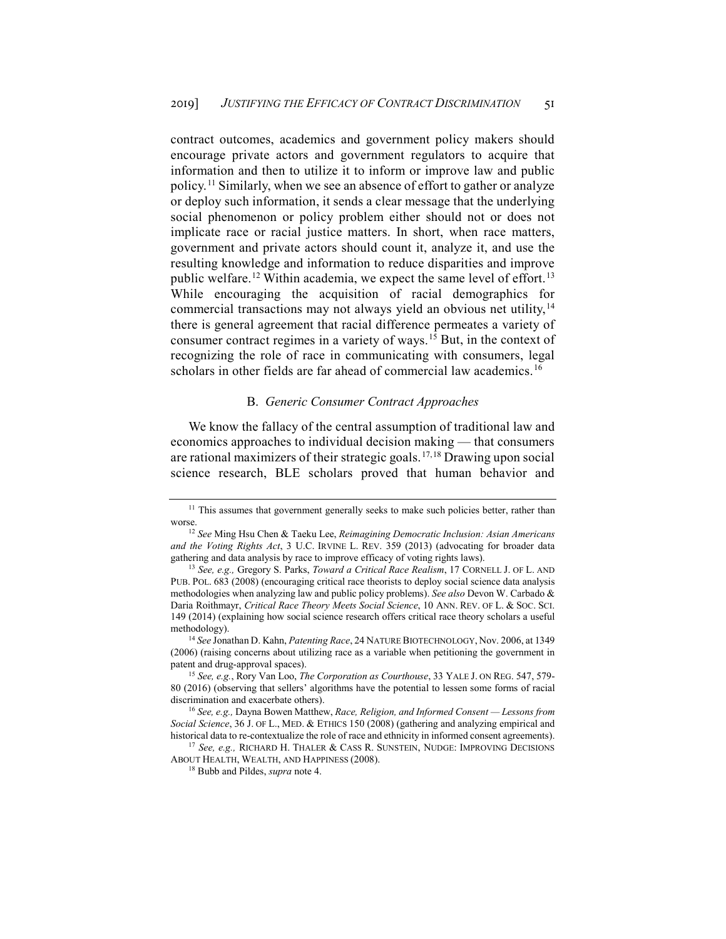contract outcomes, academics and government policy makers should encourage private actors and government regulators to acquire that information and then to utilize it to inform or improve law and public policy.<sup>[11](#page-4-0)</sup> Similarly, when we see an absence of effort to gather or analyze or deploy such information, it sends a clear message that the underlying social phenomenon or policy problem either should not or does not implicate race or racial justice matters. In short, when race matters, government and private actors should count it, analyze it, and use the resulting knowledge and information to reduce disparities and improve public welfare.<sup>[12](#page-4-1)</sup> Within academia, we expect the same level of effort.<sup>[13](#page-4-2)</sup> While encouraging the acquisition of racial demographics for commercial transactions may not always yield an obvious net utility,<sup>[14](#page-4-3)</sup> there is general agreement that racial difference permeates a variety of consumer contract regimes in a variety of ways.<sup>[15](#page-4-4)</sup> But, in the context of recognizing the role of race in communicating with consumers, legal scholars in other fields are far ahead of commercial law academics.<sup>[16](#page-4-5)</sup>

## B. *Generic Consumer Contract Approaches*

We know the fallacy of the central assumption of traditional law and economics approaches to individual decision making — that consumers are rational maximizers of their strategic goals.<sup>[17,](#page-4-6)[18](#page-4-7)</sup> Drawing upon social science research, BLE scholars proved that human behavior and

<span id="page-4-0"></span><sup>&</sup>lt;sup>11</sup> This assumes that government generally seeks to make such policies better, rather than worse.

<span id="page-4-1"></span><sup>12</sup> *See* Ming Hsu Chen & Taeku Lee, *Reimagining Democratic Inclusion: Asian Americans and the Voting Rights Act*, 3 U.C. IRVINE L. REV. 359 (2013) (advocating for broader data gathering and data analysis by race to improve efficacy of voting rights laws).

<span id="page-4-2"></span><sup>13</sup> *See, e.g.,* Gregory S. Parks, *Toward a Critical Race Realism*, 17 CORNELL J. OF L. AND PUB. POL. 683 (2008) (encouraging critical race theorists to deploy social science data analysis methodologies when analyzing law and public policy problems). *See also* Devon W. Carbado & Daria Roithmayr, *Critical Race Theory Meets Social Science*, 10 ANN. REV. OF L. & SOC. SCI. 149 (2014) (explaining how social science research offers critical race theory scholars a useful methodology).

<span id="page-4-3"></span><sup>14</sup> *See* Jonathan D. Kahn, *Patenting Race*, 24 NATURE BIOTECHNOLOGY, Nov. 2006, at 1349 (2006) (raising concerns about utilizing race as a variable when petitioning the government in patent and drug-approval spaces).

<span id="page-4-4"></span><sup>15</sup> *See, e.g.*, Rory Van Loo, *The Corporation as Courthouse*, 33 YALE J. ON REG. 547, 579- 80 (2016) (observing that sellers' algorithms have the potential to lessen some forms of racial discrimination and exacerbate others).

<span id="page-4-5"></span><sup>16</sup> *See, e.g.,* Dayna Bowen Matthew, *Race, Religion, and Informed Consent — Lessons from Social Science*, 36 J. OF L., MED. & ETHICS 150 (2008) (gathering and analyzing empirical and historical data to re-contextualize the role of race and ethnicity in informed consent agreements).

<span id="page-4-7"></span><span id="page-4-6"></span><sup>17</sup> *See, e.g.,* RICHARD H. THALER & CASS R. SUNSTEIN, NUDGE: IMPROVING DECISIONS ABOUT HEALTH, WEALTH, AND HAPPINESS (2008).

<sup>18</sup> Bubb and Pildes, *supra* note 4.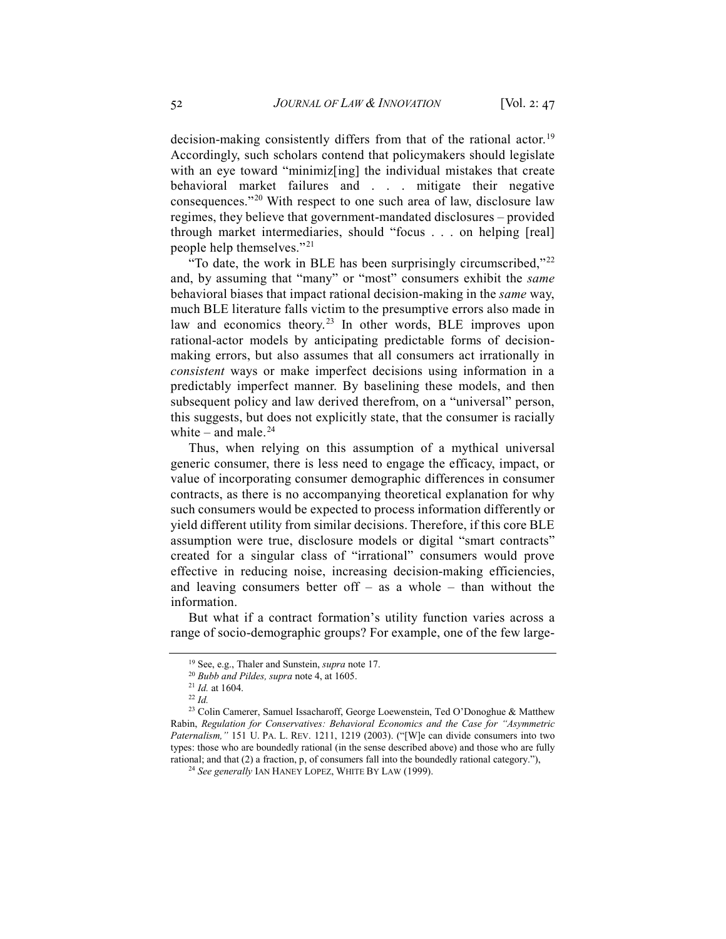decision-making consistently differs from that of the rational actor.<sup>[19](#page-5-0)</sup> Accordingly, such scholars contend that policymakers should legislate with an eye toward "minimiz[ing] the individual mistakes that create behavioral market failures and . . . mitigate their negative consequences."[20](#page-5-1) With respect to one such area of law, disclosure law regimes, they believe that government-mandated disclosures – provided through market intermediaries, should "focus . . . on helping [real] people help themselves."[21](#page-5-2)

"To date, the work in BLE has been surprisingly circumscribed,"[22](#page-5-3) and, by assuming that "many" or "most" consumers exhibit the *same* behavioral biases that impact rational decision-making in the *same* way, much BLE literature falls victim to the presumptive errors also made in law and economics theory.<sup>[23](#page-5-4)</sup> In other words, BLE improves upon rational-actor models by anticipating predictable forms of decisionmaking errors, but also assumes that all consumers act irrationally in *consistent* ways or make imperfect decisions using information in a predictably imperfect manner. By baselining these models, and then subsequent policy and law derived therefrom, on a "universal" person, this suggests, but does not explicitly state, that the consumer is racially white – and male. $24$ 

Thus, when relying on this assumption of a mythical universal generic consumer, there is less need to engage the efficacy, impact, or value of incorporating consumer demographic differences in consumer contracts, as there is no accompanying theoretical explanation for why such consumers would be expected to process information differently or yield different utility from similar decisions. Therefore, if this core BLE assumption were true, disclosure models or digital "smart contracts" created for a singular class of "irrational" consumers would prove effective in reducing noise, increasing decision-making efficiencies, and leaving consumers better off  $-$  as a whole  $-$  than without the information.

<span id="page-5-0"></span>But what if a contract formation's utility function varies across a range of socio-demographic groups? For example, one of the few large-

<sup>19</sup> See, e.g., Thaler and Sunstein, *supra* note 17.

<sup>20</sup> *Bubb and Pildes, supra* note 4, at 1605.

<sup>21</sup> *Id.* at 1604.

<sup>22</sup> *Id.*

<span id="page-5-5"></span><span id="page-5-4"></span><span id="page-5-3"></span><span id="page-5-2"></span><span id="page-5-1"></span><sup>23</sup> Colin Camerer, Samuel Issacharoff, George Loewenstein, Ted O'Donoghue & Matthew Rabin, *Regulation for Conservatives: Behavioral Economics and the Case for "Asymmetric Paternalism,"* 151 U. PA. L. REV. 1211, 1219 (2003). ("[W]e can divide consumers into two types: those who are boundedly rational (in the sense described above) and those who are fully rational; and that (2) a fraction, p, of consumers fall into the boundedly rational category."),

<sup>24</sup> *See generally* IAN HANEY LOPEZ, WHITE BY LAW (1999).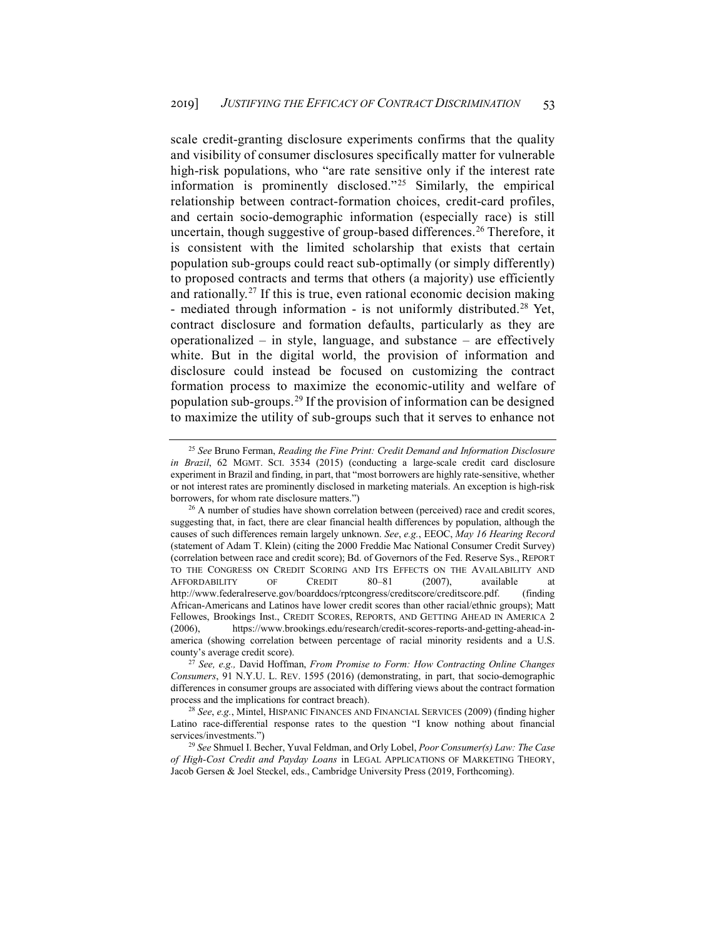scale credit-granting disclosure experiments confirms that the quality and visibility of consumer disclosures specifically matter for vulnerable high-risk populations, who "are rate sensitive only if the interest rate information is prominently disclosed."[25](#page-6-0) Similarly, the empirical relationship between contract-formation choices, credit-card profiles, and certain socio-demographic information (especially race) is still uncertain, though suggestive of group-based differences.<sup>[26](#page-6-1)</sup> Therefore, it is consistent with the limited scholarship that exists that certain population sub-groups could react sub-optimally (or simply differently) to proposed contracts and terms that others (a majority) use efficiently and rationally.[27](#page-6-2) If this is true, even rational economic decision making - mediated through information - is not uniformly distributed.<sup>[28](#page-6-3)</sup> Yet, contract disclosure and formation defaults, particularly as they are operationalized – in style, language, and substance – are effectively white. But in the digital world, the provision of information and disclosure could instead be focused on customizing the contract formation process to maximize the economic-utility and welfare of population sub-groups.[29](#page-6-4) If the provision of information can be designed to maximize the utility of sub-groups such that it serves to enhance not

<span id="page-6-0"></span><sup>25</sup> *See* Bruno Ferman, *Reading the Fine Print: Credit Demand and Information Disclosure in Brazil*, 62 MGMT. SCI. 3534 (2015) (conducting a large-scale credit card disclosure experiment in Brazil and finding, in part, that "most borrowers are highly rate-sensitive, whether or not interest rates are prominently disclosed in marketing materials. An exception is high-risk borrowers, for whom rate disclosure matters.")

<span id="page-6-1"></span><sup>&</sup>lt;sup>26</sup> A number of studies have shown correlation between (perceived) race and credit scores, suggesting that, in fact, there are clear financial health differences by population, although the causes of such differences remain largely unknown. *See*, *e.g.*, EEOC, *May 16 Hearing Record* (statement of Adam T. Klein) (citing the 2000 Freddie Mac National Consumer Credit Survey) (correlation between race and credit score); Bd. of Governors of the Fed. Reserve Sys., REPORT TO THE CONGRESS ON CREDIT SCORING AND ITS EFFECTS ON THE AVAILABILITY AND AFFORDABILITY OF CREDIT 80-81 (2007), available at http://www.federalreserve.gov/boarddocs/rptcongress/creditscore/creditscore.pdf. (finding African-Americans and Latinos have lower credit scores than other racial/ethnic groups); Matt Fellowes, Brookings Inst., CREDIT SCORES, REPORTS, AND GETTING AHEAD IN AMERICA 2 (2006), https://www.brookings.edu/research/credit-scores-reports-and-getting-ahead-inamerica (showing correlation between percentage of racial minority residents and a U.S. county's average credit score).

<span id="page-6-2"></span><sup>27</sup> *See, e.g.,* David Hoffman, *From Promise to Form: How Contracting Online Changes Consumers*, 91 N.Y.U. L. REV. 1595 (2016) (demonstrating, in part, that socio-demographic differences in consumer groups are associated with differing views about the contract formation process and the implications for contract breach).

<span id="page-6-3"></span><sup>28</sup> *See*, *e.g.*, Mintel, HISPANIC FINANCES AND FINANCIAL SERVICES (2009) (finding higher Latino race-differential response rates to the question "I know nothing about financial services/investments.")

<span id="page-6-4"></span><sup>29</sup> *See* Shmuel I. Becher, Yuval Feldman, and Orly Lobel, *Poor Consumer(s) Law: The Case of High-Cost Credit and Payday Loans* in LEGAL APPLICATIONS OF MARKETING THEORY, Jacob Gersen & Joel Steckel, eds., Cambridge University Press (2019, Forthcoming).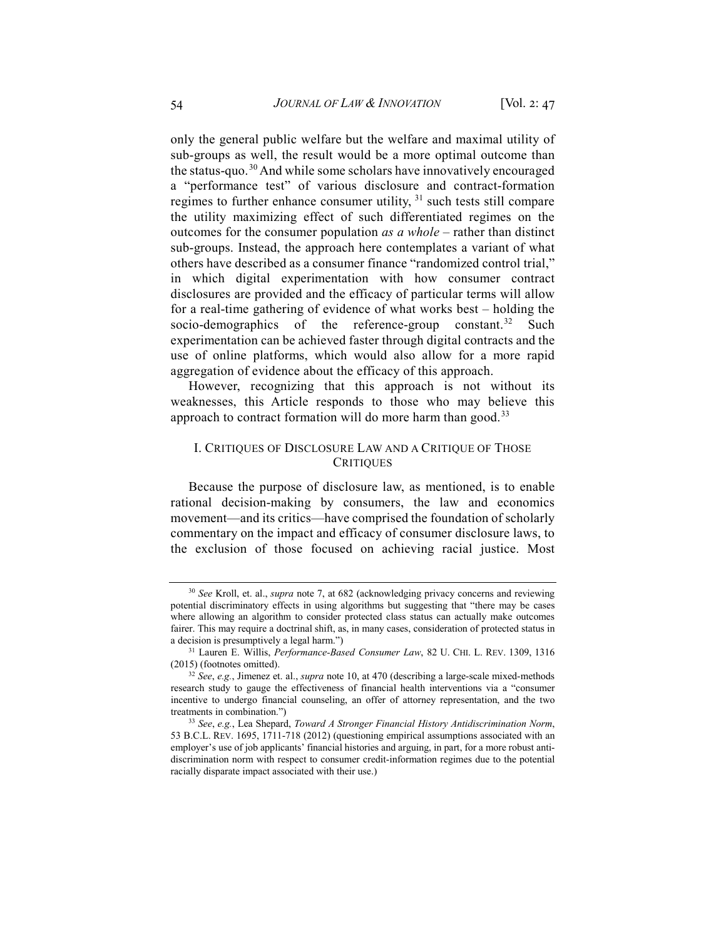only the general public welfare but the welfare and maximal utility of sub-groups as well, the result would be a more optimal outcome than the status-quo.[30](#page-7-0) And while some scholars have innovatively encouraged a "performance test" of various disclosure and contract-formation regimes to further enhance consumer utility, <sup>[31](#page-7-1)</sup> such tests still compare the utility maximizing effect of such differentiated regimes on the outcomes for the consumer population *as a whole* – rather than distinct sub-groups. Instead, the approach here contemplates a variant of what others have described as a consumer finance "randomized control trial," in which digital experimentation with how consumer contract disclosures are provided and the efficacy of particular terms will allow for a real-time gathering of evidence of what works best – holding the socio-demographics of the reference-group constant.<sup>[32](#page-7-2)</sup> Such experimentation can be achieved faster through digital contracts and the use of online platforms, which would also allow for a more rapid aggregation of evidence about the efficacy of this approach.

However, recognizing that this approach is not without its weaknesses, this Article responds to those who may believe this approach to contract formation will do more harm than good.<sup>[33](#page-7-3)</sup>

# I. CRITIQUES OF DISCLOSURE LAW AND A CRITIQUE OF THOSE **CRITIQUES**

Because the purpose of disclosure law, as mentioned, is to enable rational decision-making by consumers, the law and economics movement—and its critics—have comprised the foundation of scholarly commentary on the impact and efficacy of consumer disclosure laws, to the exclusion of those focused on achieving racial justice. Most

<span id="page-7-0"></span><sup>30</sup> *See* Kroll, et. al., *supra* note 7, at 682 (acknowledging privacy concerns and reviewing potential discriminatory effects in using algorithms but suggesting that "there may be cases where allowing an algorithm to consider protected class status can actually make outcomes fairer. This may require a doctrinal shift, as, in many cases, consideration of protected status in a decision is presumptively a legal harm.")

<span id="page-7-1"></span><sup>31</sup> Lauren E. Willis, *Performance-Based Consumer Law*, 82 U. CHI. L. REV. 1309, 1316 (2015) (footnotes omitted).

<span id="page-7-2"></span><sup>32</sup> *See*, *e.g.*, Jimenez et. al., *supra* note 10, at 470 (describing a large-scale mixed-methods research study to gauge the effectiveness of financial health interventions via a "consumer incentive to undergo financial counseling, an offer of attorney representation, and the two treatments in combination.")

<span id="page-7-3"></span><sup>33</sup> *See*, *e.g.*, Lea Shepard, *Toward A Stronger Financial History Antidiscrimination Norm*, 53 B.C.L. REV. 1695, 1711-718 (2012) (questioning empirical assumptions associated with an employer's use of job applicants' financial histories and arguing, in part, for a more robust antidiscrimination norm with respect to consumer credit-information regimes due to the potential racially disparate impact associated with their use.)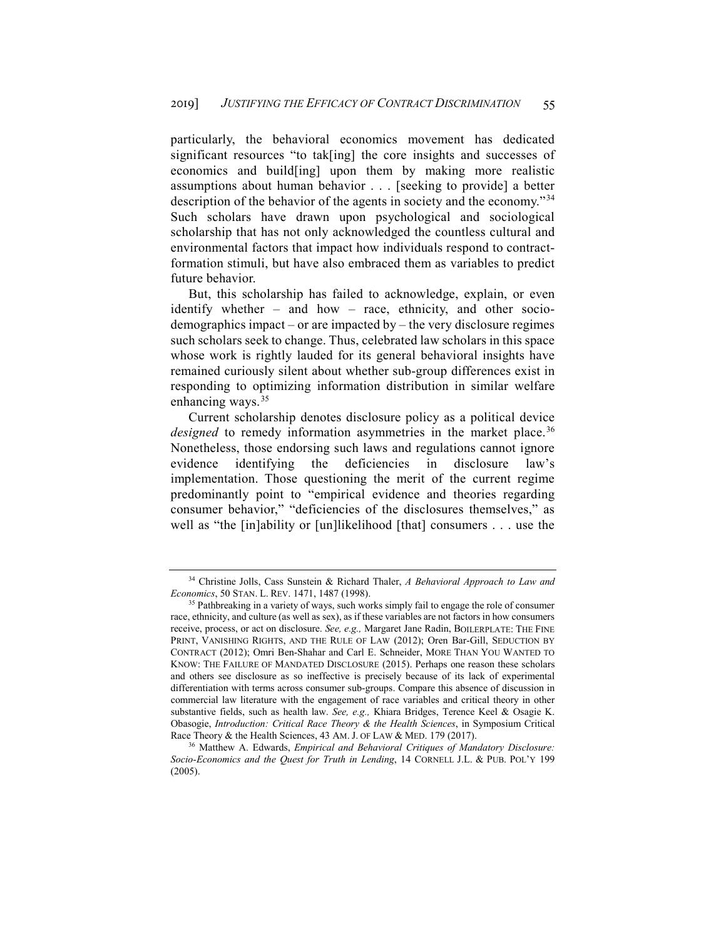particularly, the behavioral economics movement has dedicated significant resources "to tak[ing] the core insights and successes of economics and build[ing] upon them by making more realistic assumptions about human behavior . . . [seeking to provide] a better description of the behavior of the agents in society and the economy."[34](#page-8-0) Such scholars have drawn upon psychological and sociological scholarship that has not only acknowledged the countless cultural and environmental factors that impact how individuals respond to contractformation stimuli, but have also embraced them as variables to predict future behavior.

But, this scholarship has failed to acknowledge, explain, or even identify whether – and how – race, ethnicity, and other sociodemographics impact – or are impacted by – the very disclosure regimes such scholars seek to change. Thus, celebrated law scholars in this space whose work is rightly lauded for its general behavioral insights have remained curiously silent about whether sub-group differences exist in responding to optimizing information distribution in similar welfare enhancing ways.<sup>[35](#page-8-1)</sup>

Current scholarship denotes disclosure policy as a political device *designed* to remedy information asymmetries in the market place.<sup>[36](#page-8-2)</sup> Nonetheless, those endorsing such laws and regulations cannot ignore evidence identifying the deficiencies in disclosure law's implementation. Those questioning the merit of the current regime predominantly point to "empirical evidence and theories regarding consumer behavior," "deficiencies of the disclosures themselves," as well as "the [in]ability or [un]likelihood [that] consumers . . . use the

<span id="page-8-0"></span><sup>34</sup> Christine Jolls, Cass Sunstein & Richard Thaler, *A Behavioral Approach to Law and Economics*, 50 STAN. L. REV. 1471, 1487 (1998).

<span id="page-8-1"></span><sup>&</sup>lt;sup>35</sup> Pathbreaking in a variety of ways, such works simply fail to engage the role of consumer race, ethnicity, and culture (as well as sex), as if these variables are not factors in how consumers receive, process, or act on disclosure. *See, e.g.,* Margaret Jane Radin, BOILERPLATE: THE FINE PRINT, VANISHING RIGHTS, AND THE RULE OF LAW (2012); Oren Bar-Gill, SEDUCTION BY CONTRACT (2012); Omri Ben-Shahar and Carl E. Schneider, MORE THAN YOU WANTED TO KNOW: THE FAILURE OF MANDATED DISCLOSURE (2015). Perhaps one reason these scholars and others see disclosure as so ineffective is precisely because of its lack of experimental differentiation with terms across consumer sub-groups. Compare this absence of discussion in commercial law literature with the engagement of race variables and critical theory in other substantive fields, such as health law. *See, e.g.,* Khiara Bridges, Terence Keel & Osagie K. Obasogie, *Introduction: Critical Race Theory & the Health Sciences*, in Symposium Critical Race Theory & the Health Sciences, 43 AM. J. OF LAW & MED. 179 (2017).

<span id="page-8-2"></span><sup>36</sup> Matthew A. Edwards, *Empirical and Behavioral Critiques of Mandatory Disclosure: Socio-Economics and the Quest for Truth in Lending*, 14 CORNELL J.L. & PUB. POL'Y 199 (2005).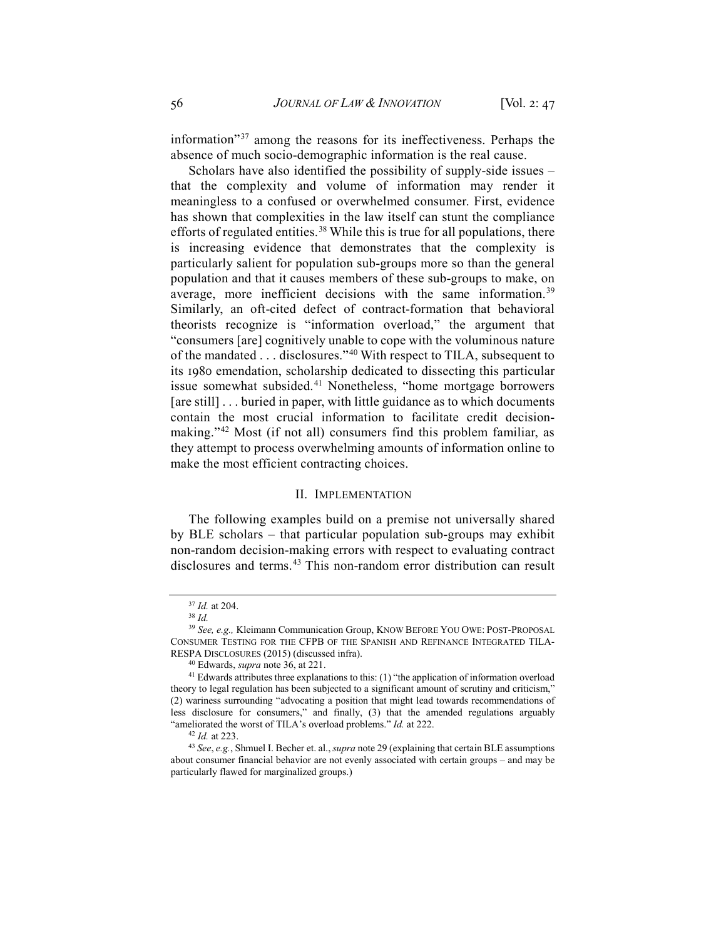information"[37](#page-9-0) among the reasons for its ineffectiveness. Perhaps the absence of much socio-demographic information is the real cause.

Scholars have also identified the possibility of supply-side issues – that the complexity and volume of information may render it meaningless to a confused or overwhelmed consumer. First, evidence has shown that complexities in the law itself can stunt the compliance efforts of regulated entities.<sup>[38](#page-9-1)</sup> While this is true for all populations, there is increasing evidence that demonstrates that the complexity is particularly salient for population sub-groups more so than the general population and that it causes members of these sub-groups to make, on average, more inefficient decisions with the same information.<sup>[39](#page-9-2)</sup> Similarly, an oft-cited defect of contract-formation that behavioral theorists recognize is "information overload," the argument that "consumers [are] cognitively unable to cope with the voluminous nature of the mandated . . . disclosures."[40](#page-9-3) With respect to TILA, subsequent to its 1980 emendation, scholarship dedicated to dissecting this particular issue somewhat subsided.<sup>[41](#page-9-4)</sup> Nonetheless, "home mortgage borrowers [are still] . . . buried in paper, with little guidance as to which documents contain the most crucial information to facilitate credit decision-making."<sup>[42](#page-9-5)</sup> Most (if not all) consumers find this problem familiar, as they attempt to process overwhelming amounts of information online to make the most efficient contracting choices.

#### II. IMPLEMENTATION

The following examples build on a premise not universally shared by BLE scholars – that particular population sub-groups may exhibit non-random decision-making errors with respect to evaluating contract disclosures and terms.<sup>[43](#page-9-6)</sup> This non-random error distribution can result

<sup>37</sup> *Id.* at 204.

<sup>38</sup> *Id.*

<span id="page-9-2"></span><span id="page-9-1"></span><span id="page-9-0"></span><sup>39</sup> *See, e.g.,* Kleimann Communication Group, KNOW BEFORE YOU OWE: POST-PROPOSAL CONSUMER TESTING FOR THE CFPB OF THE SPANISH AND REFINANCE INTEGRATED TILA-RESPA DISCLOSURES (2015) (discussed infra).

<sup>40</sup> Edwards, *supra* note 36, at 221.

<span id="page-9-4"></span><span id="page-9-3"></span> $41$  Edwards attributes three explanations to this: (1) "the application of information overload theory to legal regulation has been subjected to a significant amount of scrutiny and criticism," (2) wariness surrounding "advocating a position that might lead towards recommendations of less disclosure for consumers," and finally, (3) that the amended regulations arguably "ameliorated the worst of TILA's overload problems." *Id.* at 222.

<sup>42</sup> *Id.* at 223.

<span id="page-9-6"></span><span id="page-9-5"></span><sup>43</sup> *See*, *e.g.*, Shmuel I. Becher et. al., *supra* note 29 (explaining that certain BLE assumptions about consumer financial behavior are not evenly associated with certain groups – and may be particularly flawed for marginalized groups.)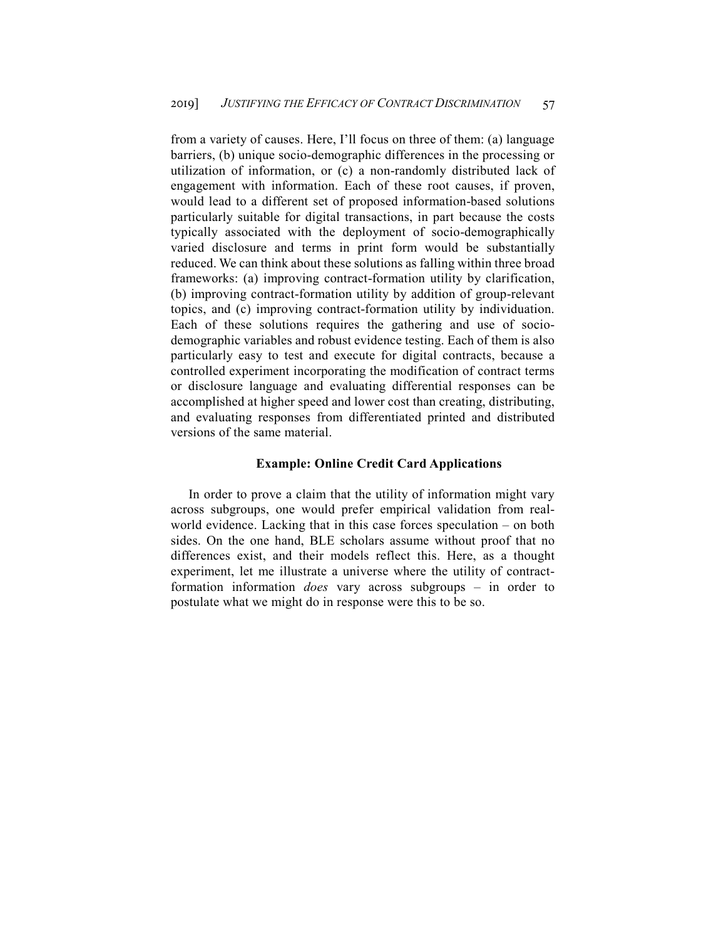from a variety of causes. Here, I'll focus on three of them: (a) language barriers, (b) unique socio-demographic differences in the processing or utilization of information, or (c) a non-randomly distributed lack of engagement with information. Each of these root causes, if proven, would lead to a different set of proposed information-based solutions particularly suitable for digital transactions, in part because the costs typically associated with the deployment of socio-demographically varied disclosure and terms in print form would be substantially reduced. We can think about these solutions as falling within three broad frameworks: (a) improving contract-formation utility by clarification, (b) improving contract-formation utility by addition of group-relevant topics, and (c) improving contract-formation utility by individuation. Each of these solutions requires the gathering and use of sociodemographic variables and robust evidence testing. Each of them is also particularly easy to test and execute for digital contracts, because a controlled experiment incorporating the modification of contract terms or disclosure language and evaluating differential responses can be accomplished at higher speed and lower cost than creating, distributing, and evaluating responses from differentiated printed and distributed versions of the same material.

## **Example: Online Credit Card Applications**

In order to prove a claim that the utility of information might vary across subgroups, one would prefer empirical validation from realworld evidence. Lacking that in this case forces speculation – on both sides. On the one hand, BLE scholars assume without proof that no differences exist, and their models reflect this. Here, as a thought experiment, let me illustrate a universe where the utility of contractformation information *does* vary across subgroups – in order to postulate what we might do in response were this to be so.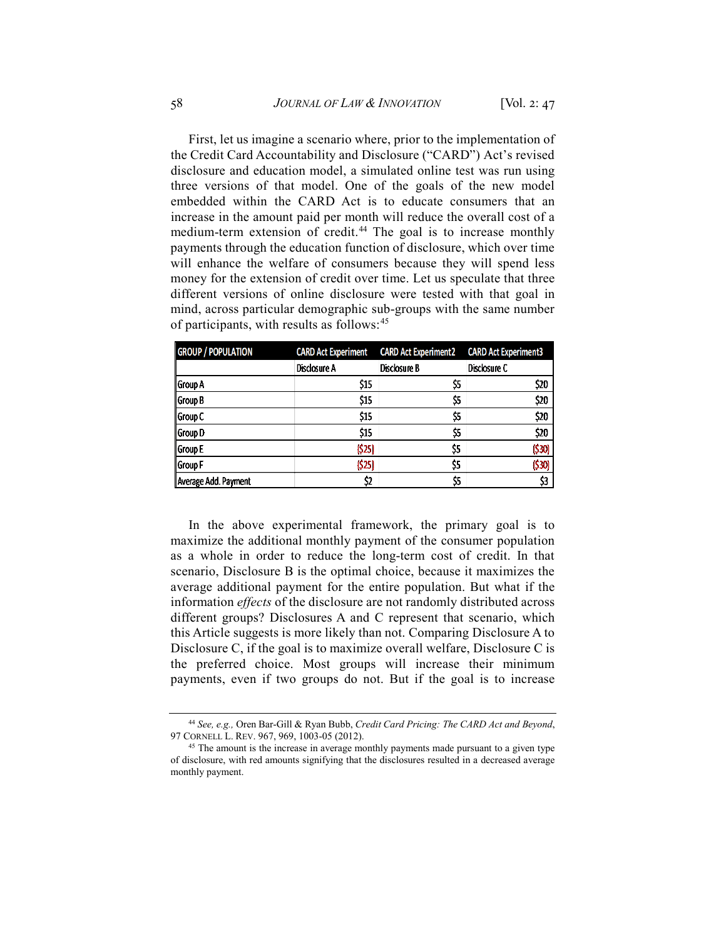First, let us imagine a scenario where, prior to the implementation of the Credit Card Accountability and Disclosure ("CARD") Act's revised disclosure and education model, a simulated online test was run using three versions of that model. One of the goals of the new model embedded within the CARD Act is to educate consumers that an increase in the amount paid per month will reduce the overall cost of a medium-term extension of credit.<sup>[44](#page-11-0)</sup> The goal is to increase monthly payments through the education function of disclosure, which over time will enhance the welfare of consumers because they will spend less money for the extension of credit over time. Let us speculate that three different versions of online disclosure were tested with that goal in mind, across particular demographic sub-groups with the same number of participants, with results as follows:<sup>[45](#page-11-1)</sup>

| <b>GROUP / POPULATION</b> | <b>CARD Act Experiment</b> | <b>CARD Act Experiment2</b> | <b>CARD Act Experiment3</b> |
|---------------------------|----------------------------|-----------------------------|-----------------------------|
|                           | Disclosure A               | Disclosure B                | Disclosure C                |
| Group A                   | \$15                       | \$5                         | \$20                        |
| Group B                   | \$15                       | \$5                         | \$20                        |
| l Group C                 | \$15                       | \$5                         | \$20                        |
| Group D                   | \$15                       | \$5                         | \$20                        |
| Group E                   | (525)                      | \$5                         | (530)                       |
| Group F                   | (525)                      | \$5                         | (530)                       |
| Average Add. Payment      | \$2                        | \$5                         | \$3                         |

In the above experimental framework, the primary goal is to maximize the additional monthly payment of the consumer population as a whole in order to reduce the long-term cost of credit. In that scenario, Disclosure B is the optimal choice, because it maximizes the average additional payment for the entire population. But what if the information *effects* of the disclosure are not randomly distributed across different groups? Disclosures A and C represent that scenario, which this Article suggests is more likely than not. Comparing Disclosure A to Disclosure C, if the goal is to maximize overall welfare, Disclosure C is the preferred choice. Most groups will increase their minimum payments, even if two groups do not. But if the goal is to increase

<span id="page-11-0"></span><sup>44</sup> *See, e.g.,* Oren Bar-Gill & Ryan Bubb, *Credit Card Pricing: The CARD Act and Beyond*, 97 CORNELL L. REV. 967, 969, 1003-05 (2012).

<span id="page-11-1"></span><sup>&</sup>lt;sup>45</sup> The amount is the increase in average monthly payments made pursuant to a given type of disclosure, with red amounts signifying that the disclosures resulted in a decreased average monthly payment.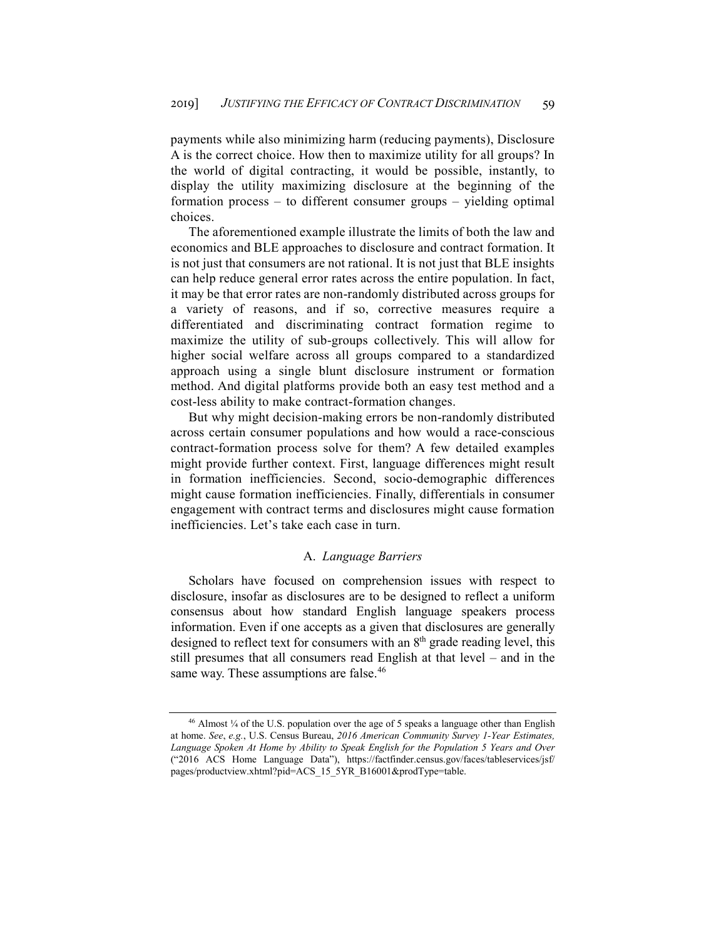payments while also minimizing harm (reducing payments), Disclosure A is the correct choice. How then to maximize utility for all groups? In the world of digital contracting, it would be possible, instantly, to display the utility maximizing disclosure at the beginning of the formation process – to different consumer groups – yielding optimal choices.

The aforementioned example illustrate the limits of both the law and economics and BLE approaches to disclosure and contract formation. It is not just that consumers are not rational. It is not just that BLE insights can help reduce general error rates across the entire population. In fact, it may be that error rates are non-randomly distributed across groups for a variety of reasons, and if so, corrective measures require a differentiated and discriminating contract formation regime to maximize the utility of sub-groups collectively. This will allow for higher social welfare across all groups compared to a standardized approach using a single blunt disclosure instrument or formation method. And digital platforms provide both an easy test method and a cost-less ability to make contract-formation changes.

But why might decision-making errors be non-randomly distributed across certain consumer populations and how would a race-conscious contract-formation process solve for them? A few detailed examples might provide further context. First, language differences might result in formation inefficiencies. Second, socio-demographic differences might cause formation inefficiencies. Finally, differentials in consumer engagement with contract terms and disclosures might cause formation inefficiencies. Let's take each case in turn.

#### A. *Language Barriers*

Scholars have focused on comprehension issues with respect to disclosure, insofar as disclosures are to be designed to reflect a uniform consensus about how standard English language speakers process information. Even if one accepts as a given that disclosures are generally designed to reflect text for consumers with an  $8<sup>th</sup>$  grade reading level, this still presumes that all consumers read English at that level – and in the same way. These assumptions are false.<sup>[46](#page-12-0)</sup>

<span id="page-12-0"></span> $46$  Almost  $\frac{1}{4}$  of the U.S. population over the age of 5 speaks a language other than English at home. *See*, *e.g.*, U.S. Census Bureau, *2016 American Community Survey 1-Year Estimates, Language Spoken At Home by Ability to Speak English for the Population 5 Years and Over* ("2016 ACS Home Language Data"), https://factfinder.census.gov/faces/tableservices/jsf/ pages/productview.xhtml?pid=ACS\_15\_5YR\_B16001&prodType=table.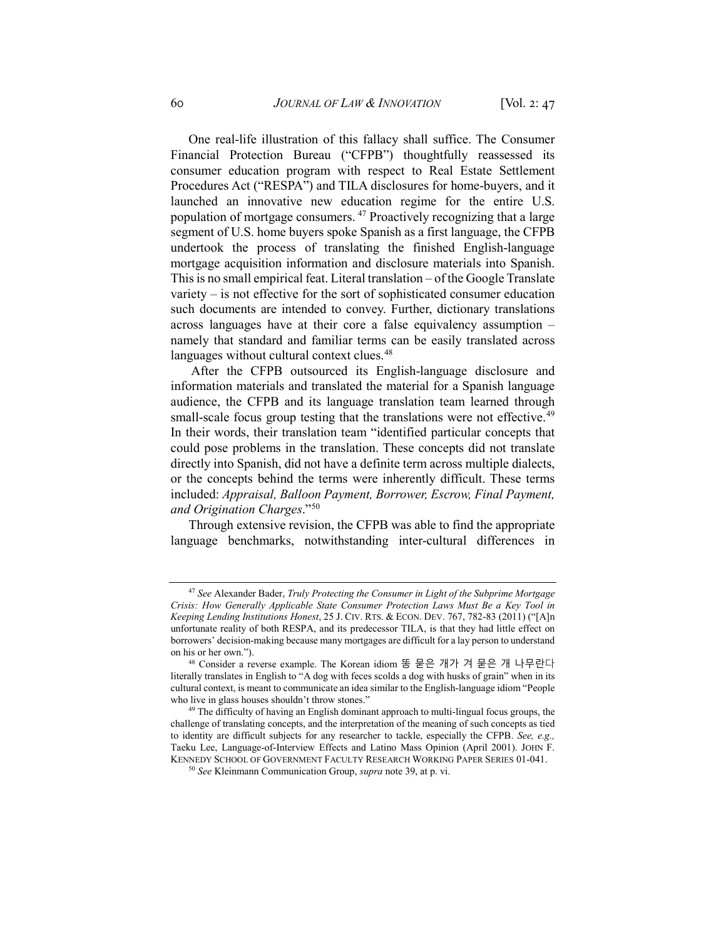One real-life illustration of this fallacy shall suffice. The Consumer Financial Protection Bureau ("CFPB") thoughtfully reassessed its consumer education program with respect to Real Estate Settlement Procedures Act ("RESPA") and TILA disclosures for home-buyers, and it launched an innovative new education regime for the entire U.S. population of mortgage consumers. [47](#page-13-0) Proactively recognizing that a large segment of U.S. home buyers spoke Spanish as a first language, the CFPB undertook the process of translating the finished English-language mortgage acquisition information and disclosure materials into Spanish. This is no small empirical feat. Literal translation – of the Google Translate variety – is not effective for the sort of sophisticated consumer education such documents are intended to convey. Further, dictionary translations across languages have at their core a false equivalency assumption – namely that standard and familiar terms can be easily translated across languages without cultural context clues.<sup>48</sup>

After the CFPB outsourced its English-language disclosure and information materials and translated the material for a Spanish language audience, the CFPB and its language translation team learned through small-scale focus group testing that the translations were not effective.<sup>[49](#page-13-2)</sup> In their words, their translation team "identified particular concepts that could pose problems in the translation. These concepts did not translate directly into Spanish, did not have a definite term across multiple dialects, or the concepts behind the terms were inherently difficult. These terms included: *Appraisal, Balloon Payment, Borrower, Escrow, Final Payment, and Origination Charges*."[50](#page-13-3)

Through extensive revision, the CFPB was able to find the appropriate language benchmarks, notwithstanding inter-cultural differences in

<span id="page-13-0"></span><sup>47</sup> *See* Alexander Bader, *Truly Protecting the Consumer in Light of the Subprime Mortgage Crisis: How Generally Applicable State Consumer Protection Laws Must Be a Key Tool in Keeping Lending Institutions Honest*, 25 J. CIV. RTS. & ECON. DEV. 767, 782-83 (2011) ("[A]n unfortunate reality of both RESPA, and its predecessor TILA, is that they had little effect on borrowers' decision-making because many mortgages are difficult for a lay person to understand on his or her own.").

<span id="page-13-1"></span><sup>48</sup> Consider a reverse example. The Korean idiom 똥 묻은 개가 겨 묻은 개 나무란다 literally translates in English to "A dog with feces scolds a dog with husks of grain" when in its cultural context, is meant to communicate an idea similar to the English-language idiom "People who live in glass houses shouldn't throw stones."

<span id="page-13-3"></span><span id="page-13-2"></span><sup>&</sup>lt;sup>49</sup> The difficulty of having an English dominant approach to multi-lingual focus groups, the challenge of translating concepts, and the interpretation of the meaning of such concepts as tied to identity are difficult subjects for any researcher to tackle, especially the CFPB. *See, e.g.,*  Taeku Lee, Language-of-Interview Effects and Latino Mass Opinion (April 2001). JOHN F. KENNEDY SCHOOL OF GOVERNMENT FACULTY RESEARCH WORKING PAPER SERIES 01-041.

<sup>50</sup> *See* Kleinmann Communication Group, *supra* note 39, at p. vi.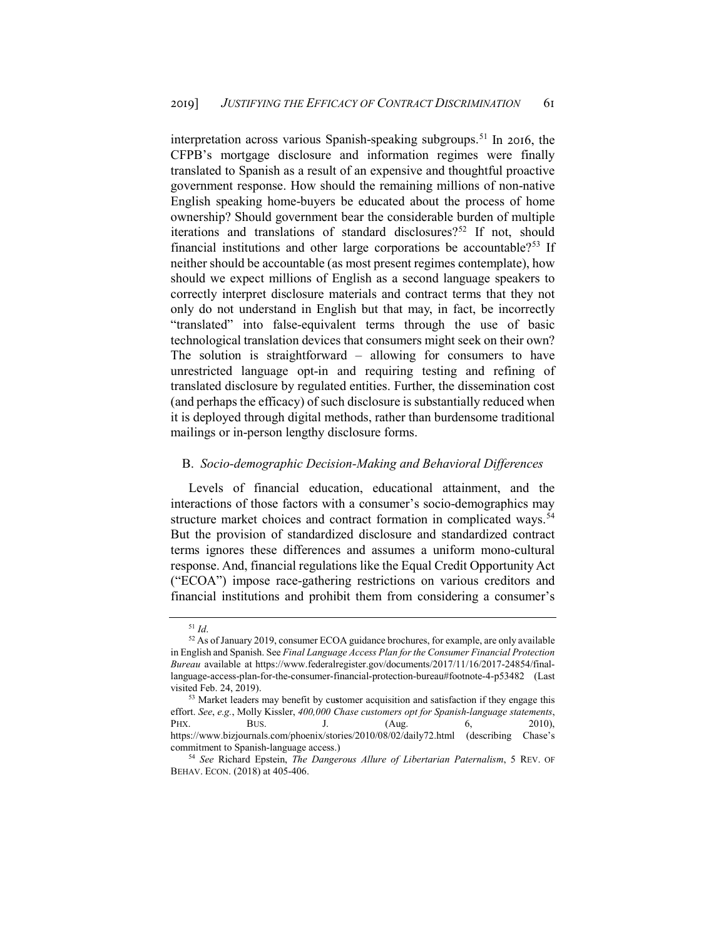interpretation across various Spanish-speaking subgroups.<sup>[51](#page-14-0)</sup> In 2016, the CFPB's mortgage disclosure and information regimes were finally translated to Spanish as a result of an expensive and thoughtful proactive government response. How should the remaining millions of non-native English speaking home-buyers be educated about the process of home ownership? Should government bear the considerable burden of multiple iterations and translations of standard disclosures?<sup>[52](#page-14-1)</sup> If not, should financial institutions and other large corporations be accountable?[53](#page-14-2) If neither should be accountable (as most present regimes contemplate), how should we expect millions of English as a second language speakers to correctly interpret disclosure materials and contract terms that they not only do not understand in English but that may, in fact, be incorrectly "translated" into false-equivalent terms through the use of basic technological translation devices that consumers might seek on their own? The solution is straightforward – allowing for consumers to have unrestricted language opt-in and requiring testing and refining of translated disclosure by regulated entities. Further, the dissemination cost (and perhaps the efficacy) of such disclosure is substantially reduced when it is deployed through digital methods, rather than burdensome traditional mailings or in-person lengthy disclosure forms.

## B. *Socio-demographic Decision-Making and Behavioral Differences*

Levels of financial education, educational attainment, and the interactions of those factors with a consumer's socio-demographics may structure market choices and contract formation in complicated ways.<sup>[54](#page-14-3)</sup> But the provision of standardized disclosure and standardized contract terms ignores these differences and assumes a uniform mono-cultural response. And, financial regulations like the Equal Credit Opportunity Act ("ECOA") impose race-gathering restrictions on various creditors and financial institutions and prohibit them from considering a consumer's

<sup>51</sup> *Id*.

<span id="page-14-1"></span><span id="page-14-0"></span><sup>52</sup> As of January 2019, consumer ECOA guidance brochures, for example, are only available in English and Spanish. See *Final Language Access Plan for the Consumer Financial Protection Bureau* available at https://www.federalregister.gov/documents/2017/11/16/2017-24854/finallanguage-access-plan-for-the-consumer-financial-protection-bureau#footnote-4-p53482 (Last visited Feb. 24, 2019). 53 Market leaders may benefit by cu**s**tomer acquisition and satisfaction if they engage this

<span id="page-14-2"></span>effort. *See*, *e.g.*, Molly Kissler, *400,000 Chase customers opt for Spanish-language statements*, PHX. BUS. J. (Aug. 6, 2010), <https://www.bizjournals.com/phoenix/stories/2010/08/02/daily72.html> (describing Chase's commitment to Spanish-language access.)

<span id="page-14-3"></span><sup>54</sup> *See* Richard Epstein, *The Dangerous Allure of Libertarian Paternalism*, 5 REV. OF BEHAV. ECON. (2018) at 405-406.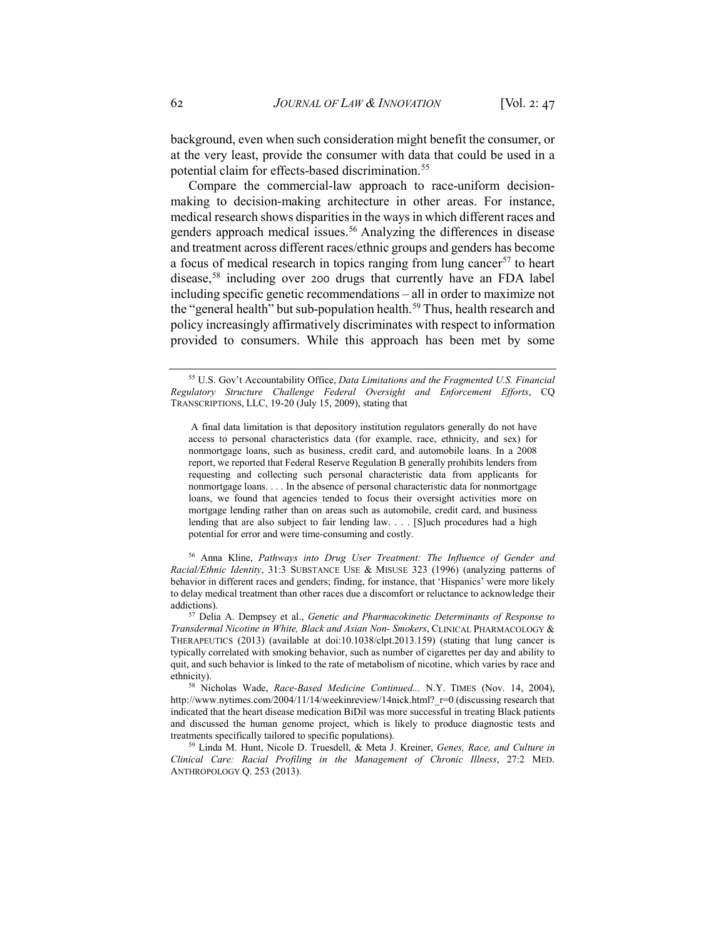background, even when such consideration might benefit the consumer, or at the very least, provide the consumer with data that could be used in a potential claim for effects-based discrimination.<sup>[55](#page-15-0)</sup>

Compare the commercial-law approach to race-uniform decisionmaking to decision-making architecture in other areas. For instance, medical research shows disparities in the ways in which different races and genders approach medical issues.<sup>56</sup> Analyzing the differences in disease and treatment across different races/ethnic groups and genders has become a focus of medical research in topics ranging from lung cancer<sup>[57](#page-15-2)</sup> to heart disease,<sup>[58](#page-15-3)</sup> including over 200 drugs that currently have an FDA label including specific genetic recommendations – all in order to maximize not the "general health" but sub-population health.<sup>[59](#page-15-4)</sup> Thus, health research and policy increasingly affirmatively discriminates with respect to information provided to consumers. While this approach has been met by some

<span id="page-15-1"></span><sup>56</sup> Anna Kline, *Pathways into Drug User Treatment: The Influence of Gender and Racial/Ethnic Identity*, 31:3 SUBSTANCE USE & MISUSE 323 (1996) (analyzing patterns of behavior in different races and genders; finding, for instance, that 'Hispanics' were more likely to delay medical treatment than other races due a discomfort or reluctance to acknowledge their addictions).

<span id="page-15-2"></span><sup>57</sup> Delia A. Dempsey et al., *Genetic and Pharmacokinetic Determinants of Response to Transdermal Nicotine in White, Black and Asian Non- Smokers*, CLINICAL PHARMACOLOGY & THERAPEUTICS (2013) (available at doi:10.1038/clpt.2013.159) (stating that lung cancer is typically correlated with smoking behavior, such as number of cigarettes per day and ability to quit, and such behavior is linked to the rate of metabolism of nicotine, which varies by race and ethnicity). 58 Nicholas Wade, *Race-Based Medicine Continued...* N.Y. TIMES (Nov. 14, 2004),

<span id="page-15-3"></span>http://www.nytimes.com/2004/11/14/weekinreview/14nick.html? r=0 (discussing research that indicated that the heart disease medication BiDil was more successful in treating Black patients and discussed the human genome project, which is likely to produce diagnostic tests and treatments specifically tailored to specific populations).

<span id="page-15-4"></span><sup>59</sup> Linda M. Hunt, Nicole D. Truesdell, & Meta J. Kreiner, *Genes, Race, and Culture in Clinical Care: Racial Profiling in the Management of Chronic Illness*, 27:2 MED. ANTHROPOLOGY Q. 253 (2013).

<span id="page-15-0"></span><sup>55</sup> U.S. Gov't Accountability Office, *Data Limitations and the Fragmented U.S. Financial Regulatory Structure Challenge Federal Oversight and Enforcement Efforts*, CQ TRANSCRIPTIONS, LLC, 19-20 (July 15, 2009), stating that

A final data limitation is that depository institution regulators generally do not have access to personal characteristics data (for example, race, ethnicity, and sex) for nonmortgage loans, such as business, credit card, and automobile loans. In a 2008 report, we reported that Federal Reserve Regulation B generally prohibits lenders from requesting and collecting such personal characteristic data from applicants for nonmortgage loans. . . . In the absence of personal characteristic data for nonmortgage loans, we found that agencies tended to focus their oversight activities more on mortgage lending rather than on areas such as automobile, credit card, and business lending that are also subject to fair lending law. . . . [S]uch procedures had a high potential for error and were time-consuming and costly.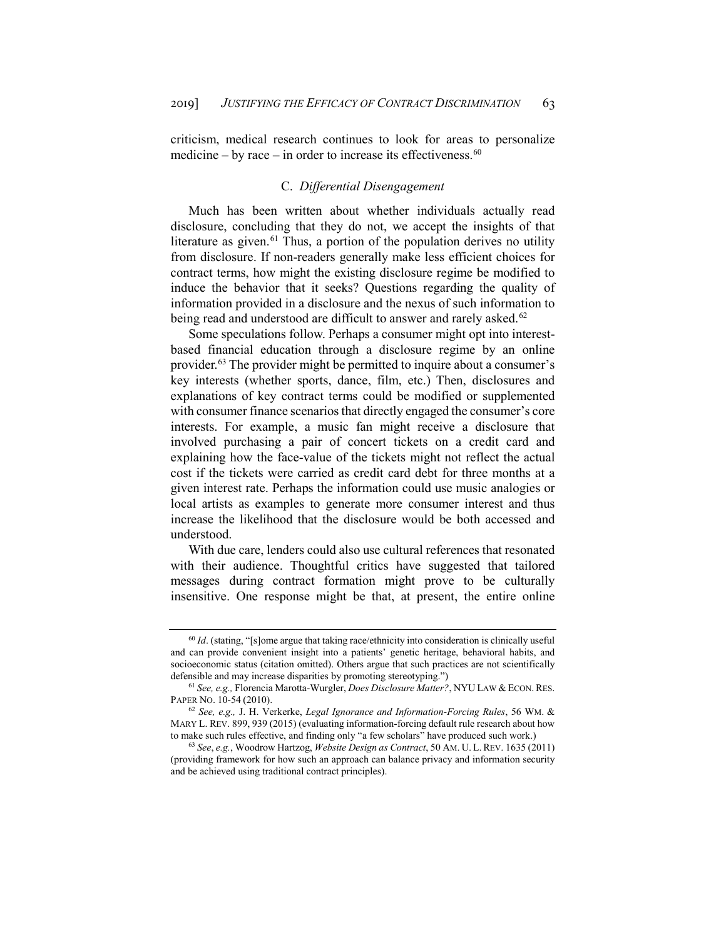criticism, medical research continues to look for areas to personalize medicine – by race – in order to increase its effectiveness. $60$ 

## C. *Differential Disengagement*

Much has been written about whether individuals actually read disclosure, concluding that they do not, we accept the insights of that literature as given. $61$  Thus, a portion of the population derives no utility from disclosure. If non-readers generally make less efficient choices for contract terms, how might the existing disclosure regime be modified to induce the behavior that it seeks? Questions regarding the quality of information provided in a disclosure and the nexus of such information to being read and understood are difficult to answer and rarely asked.<sup>[62](#page-16-2)</sup>

Some speculations follow. Perhaps a consumer might opt into interestbased financial education through a disclosure regime by an online provider.<sup>[63](#page-16-3)</sup> The provider might be permitted to inquire about a consumer's key interests (whether sports, dance, film, etc.) Then, disclosures and explanations of key contract terms could be modified or supplemented with consumer finance scenarios that directly engaged the consumer's core interests. For example, a music fan might receive a disclosure that involved purchasing a pair of concert tickets on a credit card and explaining how the face-value of the tickets might not reflect the actual cost if the tickets were carried as credit card debt for three months at a given interest rate. Perhaps the information could use music analogies or local artists as examples to generate more consumer interest and thus increase the likelihood that the disclosure would be both accessed and understood.

With due care, lenders could also use cultural references that resonated with their audience. Thoughtful critics have suggested that tailored messages during contract formation might prove to be culturally insensitive. One response might be that, at present, the entire online

<span id="page-16-0"></span><sup>60</sup> *Id*. (stating, "[s]ome argue that taking race/ethnicity into consideration is clinically useful and can provide convenient insight into a patients' genetic heritage, behavioral habits, and socioeconomic status (citation omitted). Others argue that such practices are not scientifically defensible and may increase disparities by promoting stereotyping.")

<span id="page-16-1"></span><sup>61</sup> *See, e.g.,* Florencia Marotta-Wurgler, *Does Disclosure Matter?*, NYU LAW & ECON. RES. PAPER NO. 10-54 (2010).

<span id="page-16-2"></span><sup>62</sup> *See, e.g.,* J. H. Verkerke, *Legal Ignorance and Information-Forcing Rules*, 56 WM. & MARY L. REV. 899, 939 (2015) (evaluating information-forcing default rule research about how to make such rules effective, and finding only "a few scholars" have produced such work.)

<span id="page-16-3"></span><sup>63</sup> *See*, *e.g.*, Woodrow Hartzog, *Website Design as Contract*, 50 AM. U. L.REV. 1635 (2011) (providing framework for how such an approach can balance privacy and information security and be achieved using traditional contract principles).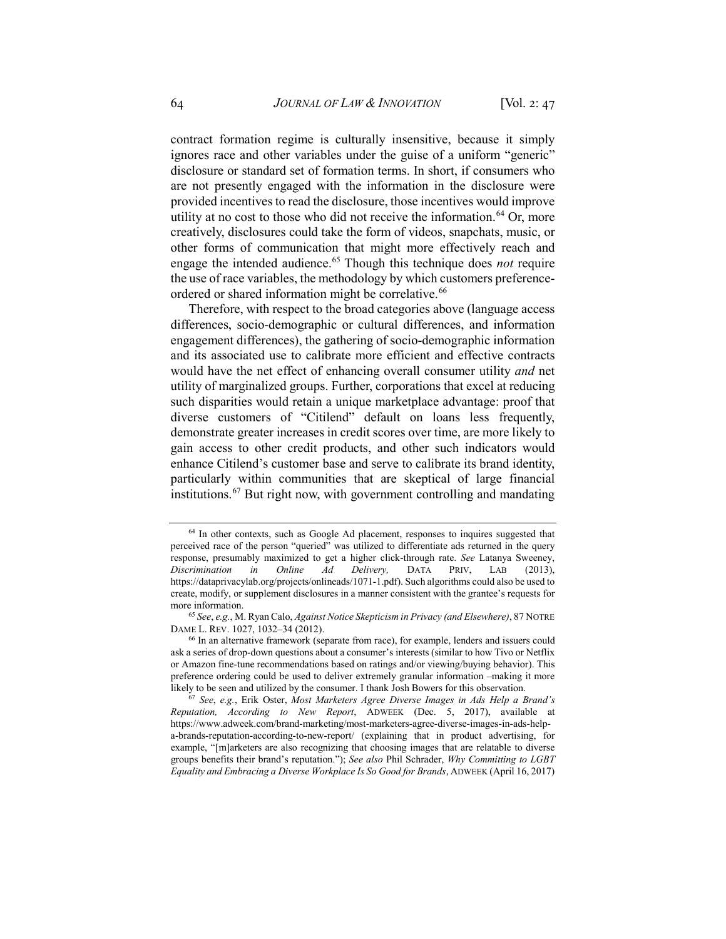contract formation regime is culturally insensitive, because it simply ignores race and other variables under the guise of a uniform "generic" disclosure or standard set of formation terms. In short, if consumers who are not presently engaged with the information in the disclosure were provided incentives to read the disclosure, those incentives would improve utility at no cost to those who did not receive the information.<sup>[64](#page-17-0)</sup> Or, more creatively, disclosures could take the form of videos, snapchats, music, or other forms of communication that might more effectively reach and engage the intended audience.[65](#page-17-1) Though this technique does *not* require the use of race variables, the methodology by which customers preference-ordered or shared information might be correlative.<sup>[66](#page-17-2)</sup>

Therefore, with respect to the broad categories above (language access differences, socio-demographic or cultural differences, and information engagement differences), the gathering of socio-demographic information and its associated use to calibrate more efficient and effective contracts would have the net effect of enhancing overall consumer utility *and* net utility of marginalized groups. Further, corporations that excel at reducing such disparities would retain a unique marketplace advantage: proof that diverse customers of "Citilend" default on loans less frequently, demonstrate greater increases in credit scores over time, are more likely to gain access to other credit products, and other such indicators would enhance Citilend's customer base and serve to calibrate its brand identity, particularly within communities that are skeptical of large financial institutions.[67](#page-17-3) But right now, with government controlling and mandating

<span id="page-17-0"></span><sup>&</sup>lt;sup>64</sup> In other contexts, such as Google Ad placement, responses to inquires suggested that perceived race of the person "queried" was utilized to differentiate ads returned in the query response, presumably maximized to get a higher click-through rate. *See* Latanya Sweeney, *Discrimination in Online Ad Delivery,* DATA PRIV, LAB (2013), https://dataprivacylab.org/projects/onlineads/1071-1.pdf). Such algorithms could also be used to create, modify, or supplement disclosures in a manner consistent with the grantee's requests for more information.

<span id="page-17-1"></span><sup>65</sup> *See*, *e.g.*, M. Ryan Calo, *Against Notice Skepticism in Privacy (and Elsewhere)*, 87 NOTRE DAME L. REV. 1027, 1032–34 (2012).

<span id="page-17-2"></span><sup>66</sup> In an alternative framework (separate from race), for example, lenders and issuers could ask a series of drop-down questions about a consumer's interests (similar to how Tivo or Netflix or Amazon fine-tune recommendations based on ratings and/or viewing/buying behavior). This preference ordering could be used to deliver extremely granular information –making it more likely to be seen and utilized by the consumer. I thank Josh Bowers for this observation.

<span id="page-17-3"></span><sup>67</sup> *See*, *e.g.*, Erik Oster, *Most Marketers Agree Diverse Images in Ads Help a Brand's Reputation, According to New Report*, ADWEEK (Dec. 5, 2017), available at https://www.adweek.com/brand-marketing/most-marketers-agree-diverse-images-in-ads-helpa-brands-reputation-according-to-new-report/ (explaining that in product advertising, for example, "[m]arketers are also recognizing that choosing images that are relatable to diverse groups benefits their brand's reputation."); *See also* Phil Schrader, *Why Committing to LGBT Equality and Embracing a Diverse Workplace Is So Good for Brands*, ADWEEK (April 16, 2017)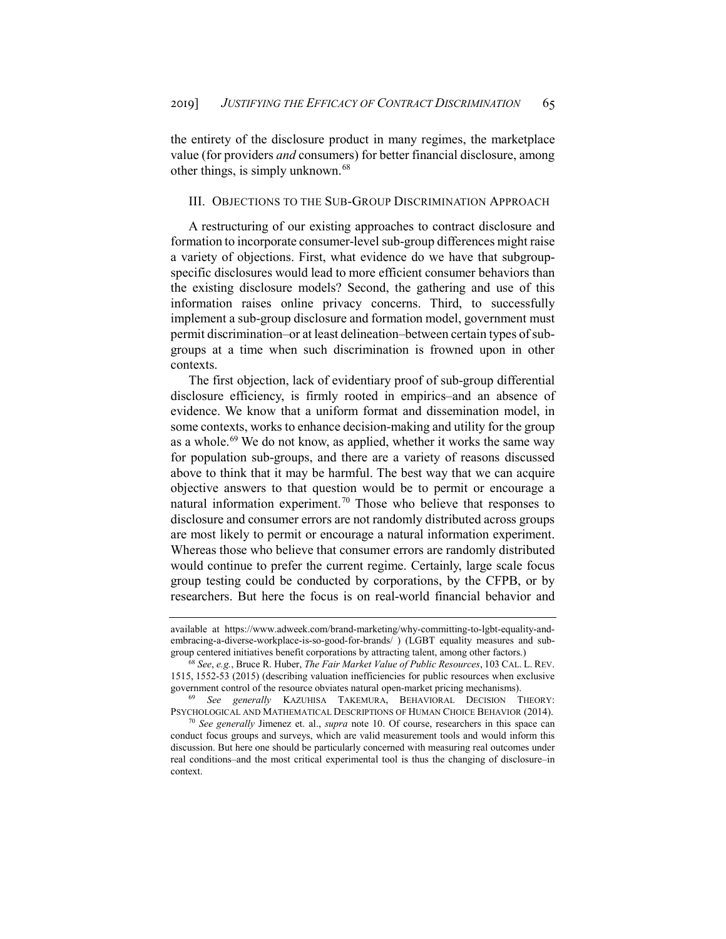the entirety of the disclosure product in many regimes, the marketplace value (for providers *and* consumers) for better financial disclosure, among other things, is simply unknown.<sup>[68](#page-18-0)</sup>

#### III. OBJECTIONS TO THE SUB-GROUP DISCRIMINATION APPROACH

A restructuring of our existing approaches to contract disclosure and formation to incorporate consumer-level sub-group differences might raise a variety of objections. First, what evidence do we have that subgroupspecific disclosures would lead to more efficient consumer behaviors than the existing disclosure models? Second, the gathering and use of this information raises online privacy concerns. Third, to successfully implement a sub-group disclosure and formation model, government must permit discrimination–or at least delineation–between certain types of subgroups at a time when such discrimination is frowned upon in other contexts.

The first objection, lack of evidentiary proof of sub-group differential disclosure efficiency, is firmly rooted in empirics–and an absence of evidence. We know that a uniform format and dissemination model, in some contexts, works to enhance decision-making and utility for the group as a whole.<sup>[69](#page-18-1)</sup> We do not know, as applied, whether it works the same way for population sub-groups, and there are a variety of reasons discussed above to think that it may be harmful. The best way that we can acquire objective answers to that question would be to permit or encourage a natural information experiment.<sup>[70](#page-18-2)</sup> Those who believe that responses to disclosure and consumer errors are not randomly distributed across groups are most likely to permit or encourage a natural information experiment. Whereas those who believe that consumer errors are randomly distributed would continue to prefer the current regime. Certainly, large scale focus group testing could be conducted by corporations, by the CFPB, or by researchers. But here the focus is on real-world financial behavior and

available at https://www.adweek.com/brand-marketing/why-committing-to-lgbt-equality-andembracing-a-diverse-workplace-is-so-good-for-brands/ ) (LGBT equality measures and subgroup centered initiatives benefit corporations by attracting talent, among other factors.)

<span id="page-18-0"></span><sup>68</sup> *See*, *e.g.*, Bruce R. Huber, *The Fair Market Value of Public Resources*, 103 CAL. L. REV. 1515, 1552-53 (2015) (describing valuation inefficiencies for public resources when exclusive government control of the resource obviates natural open-market pricing mechanisms).

<span id="page-18-1"></span><sup>69</sup> *See generally* KAZUHISA TAKEMURA, BEHAVIORAL DECISION THEORY: PSYCHOLOGICAL AND MATHEMATICAL DESCRIPTIONS OF HUMAN CHOICE BEHAVIOR (2014).

<span id="page-18-2"></span><sup>70</sup> *See generally* Jimenez et. al., *supra* note 10. Of course, researchers in this space can conduct focus groups and surveys, which are valid measurement tools and would inform this discussion. But here one should be particularly concerned with measuring real outcomes under real conditions–and the most critical experimental tool is thus the changing of disclosure–in context.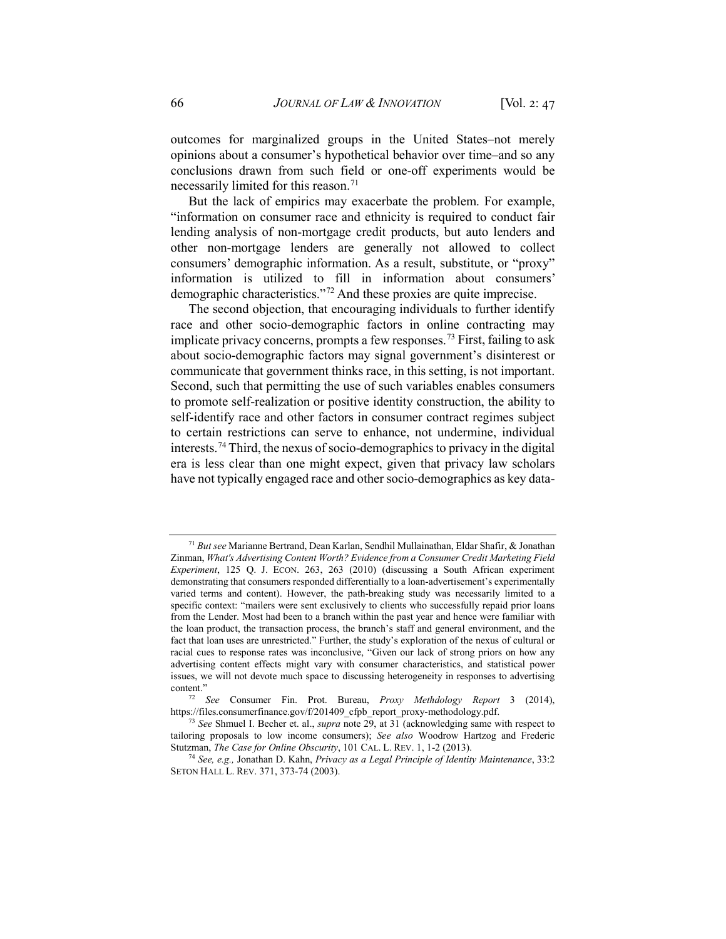outcomes for marginalized groups in the United States–not merely opinions about a consumer's hypothetical behavior over time–and so any conclusions drawn from such field or one-off experiments would be necessarily limited for this reason.<sup>[71](#page-19-0)</sup>

But the lack of empirics may exacerbate the problem. For example, "information on consumer race and ethnicity is required to conduct fair lending analysis of non-mortgage credit products, but auto lenders and other non-mortgage lenders are generally not allowed to collect consumers' demographic information. As a result, substitute, or "proxy" information is utilized to fill in information about consumers' demographic characteristics."[72](#page-19-1) And these proxies are quite imprecise.

The second objection, that encouraging individuals to further identify race and other socio-demographic factors in online contracting may implicate privacy concerns, prompts a few responses.<sup>[73](#page-19-2)</sup> First, failing to ask about socio-demographic factors may signal government's disinterest or communicate that government thinks race, in this setting, is not important. Second, such that permitting the use of such variables enables consumers to promote self-realization or positive identity construction, the ability to self-identify race and other factors in consumer contract regimes subject to certain restrictions can serve to enhance, not undermine, individual interests.[74](#page-19-3) Third, the nexus of socio-demographics to privacy in the digital era is less clear than one might expect, given that privacy law scholars have not typically engaged race and other socio-demographics as key data-

<span id="page-19-0"></span><sup>71</sup> *But see* Marianne Bertrand, Dean Karlan, Sendhil Mullainathan, Eldar Shafir, & Jonathan Zinman, *What's Advertising Content Worth? Evidence from a Consumer Credit Marketing Field Experiment*, 125 Q. J. ECON. 263, 263 (2010) (discussing a South African experiment demonstrating that consumers responded differentially to a loan-advertisement's experimentally varied terms and content). However, the path-breaking study was necessarily limited to a specific context: "mailers were sent exclusively to clients who successfully repaid prior loans from the Lender. Most had been to a branch within the past year and hence were familiar with the loan product, the transaction process, the branch's staff and general environment, and the fact that loan uses are unrestricted." Further, the study's exploration of the nexus of cultural or racial cues to response rates was inconclusive, "Given our lack of strong priors on how any advertising content effects might vary with consumer characteristics, and statistical power issues, we will not devote much space to discussing heterogeneity in responses to advertising content."

<span id="page-19-1"></span><sup>72</sup> *See* Consumer Fin. Prot. Bureau, *Proxy Methdology Report* 3 (2014), https://files.consumerfinance.gov/f/201409\_cfpb\_report\_proxy-methodology.pdf.

<span id="page-19-2"></span><sup>73</sup> *See* Shmuel I. Becher et. al., *supra* note 29, at 31 (acknowledging same with respect to tailoring proposals to low income consumers); *See also* Woodrow Hartzog and Frederic Stutzman, *The Case for Online Obscurity*, 101 CAL. L. REV. 1, 1-2 (2013).

<span id="page-19-3"></span><sup>74</sup> *See, e.g.,* Jonathan D. Kahn, *Privacy as a Legal Principle of Identity Maintenance*, 33:2 SETON HALL L. REV. 371, 373-74 (2003).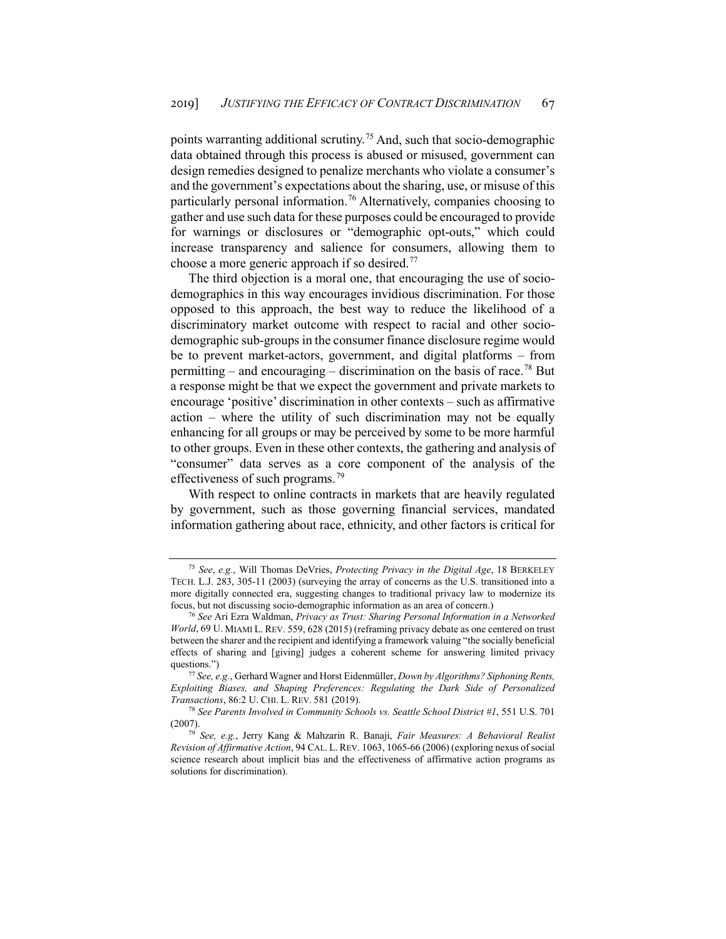points warranting additional scrutiny.[75](#page-20-0) And, such that socio-demographic data obtained through this process is abused or misused, government can design remedies designed to penalize merchants who violate a consumer's and the government's expectations about the sharing, use, or misuse of this particularly personal information.<sup>[76](#page-20-1)</sup> Alternatively, companies choosing to gather and use such data for these purposes could be encouraged to provide for warnings or disclosures or "demographic opt-outs," which could increase transparency and salience for consumers, allowing them to choose a more generic approach if so desired[.77](#page-20-2)

The third objection is a moral one, that encouraging the use of sociodemographics in this way encourages invidious discrimination. For those opposed to this approach, the best way to reduce the likelihood of a discriminatory market outcome with respect to racial and other sociodemographic sub-groups in the consumer finance disclosure regime would be to prevent market-actors, government, and digital platforms – from permitting – and encouraging – discrimination on the basis of race.<sup>[78](#page-20-3)</sup> But a response might be that we expect the government and private markets to encourage 'positive' discrimination in other contexts – such as affirmative action – where the utility of such discrimination may not be equally enhancing for all groups or may be perceived by some to be more harmful to other groups. Even in these other contexts, the gathering and analysis of "consumer" data serves as a core component of the analysis of the effectiveness of such programs.[79](#page-20-4)

With respect to online contracts in markets that are heavily regulated by government, such as those governing financial services, mandated information gathering about race, ethnicity, and other factors is critical for

<span id="page-20-0"></span><sup>75</sup> *See*, *e.g.*, Will Thomas DeVries, *Protecting Privacy in the Digital Age*, 18 BERKELEY TECH. L.J. 283, 305-11 (2003) (surveying the array of concerns as the U.S. transitioned into a more digitally connected era, suggesting changes to traditional privacy law to modernize its focus, but not discussing socio-demographic information as an area of concern.)

<span id="page-20-1"></span><sup>76</sup> *See* Ari Ezra Waldman, *Privacy as Trust: Sharing Personal Information in a Networked World*, 69 U. MIAMI L. REV. 559, 628 (2015) (reframing privacy debate as one centered on trust between the sharer and the recipient and identifying a framework valuing "the socially beneficial effects of sharing and [giving] judges a coherent scheme for answering limited privacy questions.")

<span id="page-20-2"></span><sup>77</sup> *See, e.g.*, Gerhard Wagner and Horst Eidenmüller, *Down by Algorithms? Siphoning Rents, Exploiting Biases, and Shaping Preferences: Regulating the Dark Side of Personalized Transactions*, 86:2 U. CHI. L. REV. 581 (2019).

<span id="page-20-3"></span><sup>78</sup> *See Parents Involved in Community Schools vs. Seattle School District #1*, 551 U.S. 701 (2007).

<span id="page-20-4"></span><sup>79</sup> *See, e.g.*, Jerry Kang & Mahzarin R. Banaji, *Fair Measures: A Behavioral Realist Revision of Affirmative Action*, 94 CAL. L. REV. 1063, 1065-66 (2006) (exploring nexus of social science research about implicit bias and the effectiveness of affirmative action programs as solutions for discrimination).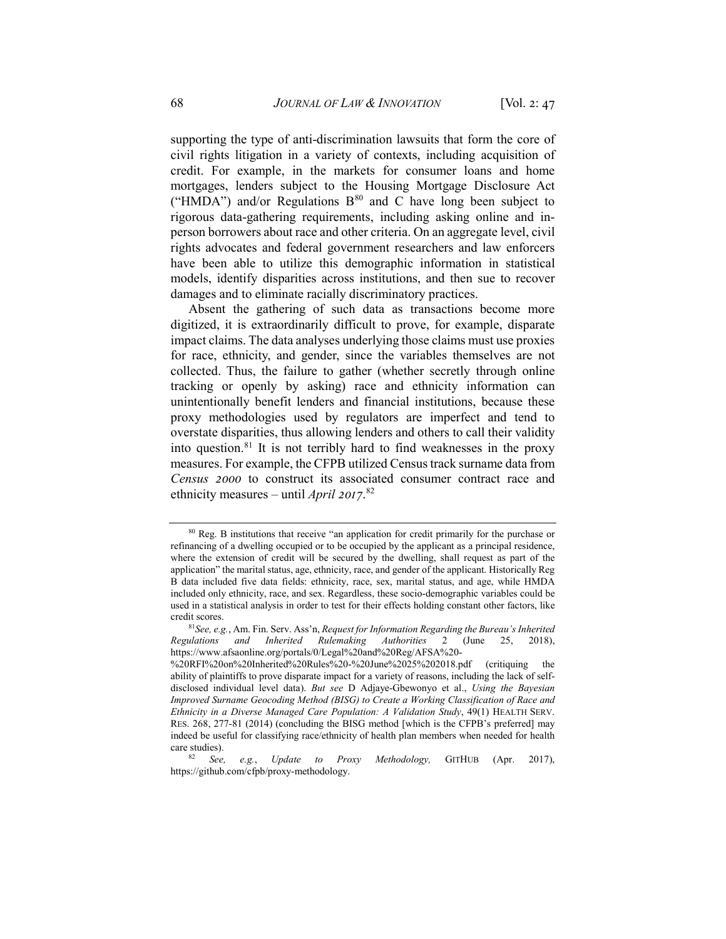supporting the type of anti-discrimination lawsuits that form the core of civil rights litigation in a variety of contexts, including acquisition of credit. For example, in the markets for consumer loans and home mortgages, lenders subject to the Housing Mortgage Disclosure Act ("HMDA") and/or Regulations  $B^{80}$  $B^{80}$  $B^{80}$  and C have long been subject to rigorous data-gathering requirements, including asking online and inperson borrowers about race and other criteria. On an aggregate level, civil rights advocates and federal government researchers and law enforcers have been able to utilize this demographic information in statistical models, identify disparities across institutions, and then sue to recover damages and to eliminate racially discriminatory practices.

Absent the gathering of such data as transactions become more digitized, it is extraordinarily difficult to prove, for example, disparate impact claims. The data analyses underlying those claims must use proxies for race, ethnicity, and gender, since the variables themselves are not collected. Thus, the failure to gather (whether secretly through online tracking or openly by asking) race and ethnicity information can unintentionally benefit lenders and financial institutions, because these proxy methodologies used by regulators are imperfect and tend to overstate disparities, thus allowing lenders and others to call their validity into question.[81](#page-21-1) It is not terribly hard to find weaknesses in the proxy measures. For example, the CFPB utilized Census track surname data from *Census 2000* to construct its associated consumer contract race and ethnicity measures – until *April 2017*. [82](#page-21-2)

<span id="page-21-0"></span><sup>&</sup>lt;sup>80</sup> Reg. B institutions that receive "an application for credit primarily for the purchase or refinancing of a dwelling occupied or to be occupied by the applicant as a principal residence, where the extension of credit will be secured by the dwelling, shall request as part of the application" the marital status, age, ethnicity, race, and gender of the applicant. Historically Reg B data included five data fields: ethnicity, race, sex, marital status, and age, while HMDA included only ethnicity, race, and sex. Regardless, these socio-demographic variables could be used in a statistical analysis in order to test for their effects holding constant other factors, like credit scores.

<span id="page-21-1"></span><sup>81</sup>*See, e.g.*, Am. Fin. Serv. Ass'n, *Request for Information Regarding the Bureau's Inherited Regulations and Inherited Rulemaking Authorities* 2 (June 25, 2018), [https://www.afsaonline.org/portals/0/Legal%20and%20Reg/AFSA%20-](https://www.afsaonline.org/portals/0/Legal%20and%20Reg/AFSA%20-%20RFI%20on%20Inherited%20Rules%20-%20June%2025%202018.pdf)

[<sup>%20</sup>RFI%20on%20Inherited%20Rules%20-%20June%2025%202018.pdf](https://www.afsaonline.org/portals/0/Legal%20and%20Reg/AFSA%20-%20RFI%20on%20Inherited%20Rules%20-%20June%2025%202018.pdf) (critiquing the ability of plaintiffs to prove disparate impact for a variety of reasons, including the lack of selfdisclosed individual level data). *But see* D Adjaye-Gbewonyo et al., *Using the Bayesian Improved Surname Geocoding Method (BISG) to Create a Working Classification of Race and Ethnicity in a Diverse Managed Care Population: A Validation Study*, 49(1) HEALTH SERV. RES. 268, 277-81 (2014) (concluding the BISG method [which is the CFPB's preferred] may indeed be useful for classifying race/ethnicity of health plan members when needed for health care studies).

<span id="page-21-2"></span><sup>82</sup> *See, e.g.*, *Update to Proxy Methodology,* GITHUB (Apr. 2017), https://github.com/cfpb/proxy-methodology.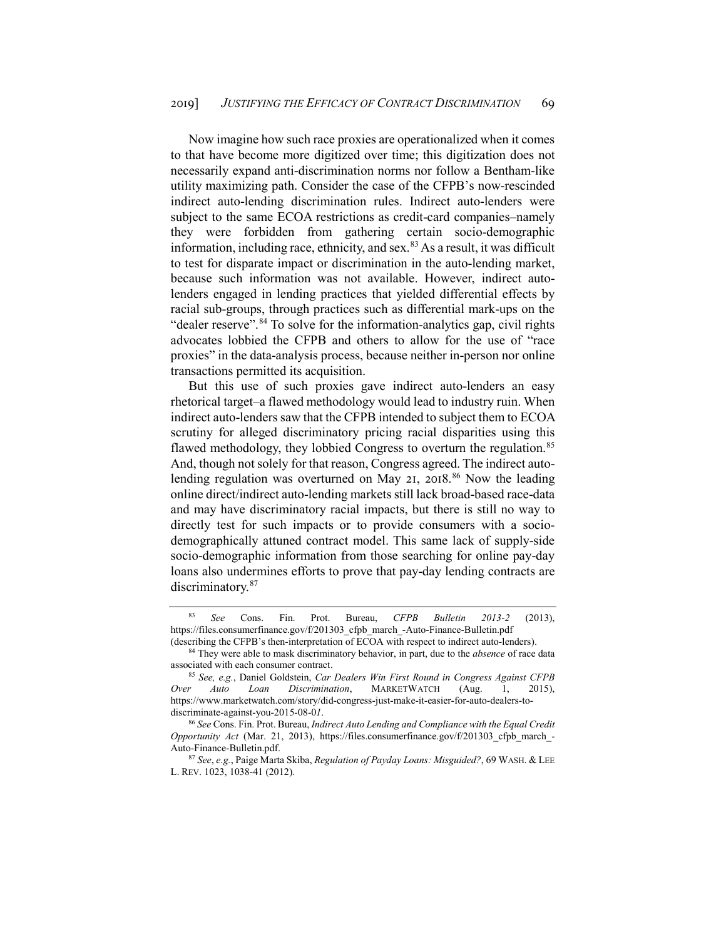Now imagine how such race proxies are operationalized when it comes to that have become more digitized over time; this digitization does not necessarily expand anti-discrimination norms nor follow a Bentham-like utility maximizing path. Consider the case of the CFPB's now-rescinded indirect auto-lending discrimination rules. Indirect auto-lenders were subject to the same ECOA restrictions as credit-card companies–namely they were forbidden from gathering certain socio-demographic information, including race, ethnicity, and sex.<sup>[83](#page-22-0)</sup> As a result, it was difficult to test for disparate impact or discrimination in the auto-lending market, because such information was not available. However, indirect autolenders engaged in lending practices that yielded differential effects by racial sub-groups, through practices such as differential mark-ups on the "dealer reserve".<sup>[84](#page-22-1)</sup> To solve for the information-analytics gap, civil rights advocates lobbied the CFPB and others to allow for the use of "race proxies" in the data-analysis process, because neither in-person nor online transactions permitted its acquisition.

But this use of such proxies gave indirect auto-lenders an easy rhetorical target–a flawed methodology would lead to industry ruin. When indirect auto-lenders saw that the CFPB intended to subject them to ECOA scrutiny for alleged discriminatory pricing racial disparities using this flawed methodology, they lobbied Congress to overturn the regulation.<sup>[85](#page-22-2)</sup> And, though not solely for that reason, Congress agreed. The indirect auto-lending regulation was overturned on May 21, 2018.<sup>[86](#page-22-3)</sup> Now the leading online direct/indirect auto-lending markets still lack broad-based race-data and may have discriminatory racial impacts, but there is still no way to directly test for such impacts or to provide consumers with a sociodemographically attuned contract model. This same lack of supply-side socio-demographic information from those searching for online pay-day loans also undermines efforts to prove that pay-day lending contracts are discriminatory.<sup>[87](#page-22-4)</sup>

<span id="page-22-0"></span><sup>83</sup> *See* Cons. Fin. Prot. Bureau, *CFPB Bulletin 2013-2* (2013), https://files.consumerfinance.gov/f/201303\_cfpb\_march\_-Auto-Finance-Bulletin.pdf

<span id="page-22-1"></span><sup>(</sup>describing the CFPB's then-interpretation of ECOA with respect to indirect auto-lenders). 84 They were able to mask discriminatory behavior, in part, due to the *absence* of race data associated with each consumer contract.

<span id="page-22-2"></span><sup>85</sup> *See, e.g.*, Daniel Goldstein, *Car Dealers Win First Round in Congress Against CFPB Over Auto Loan Discrimination*, MARKETWATCH (Aug. 1, 2015), [https://www.marketwatch.com/story/did-congress-just-make-it-easier-for-auto-dealers-to](https://www.marketwatch.com/story/did-congress-just-make-it-easier-for-auto-dealers-to-discriminate-against-you-2015-08-01)[discriminate-against-you-2015-08-0](https://www.marketwatch.com/story/did-congress-just-make-it-easier-for-auto-dealers-to-discriminate-against-you-2015-08-01)*1*.

<span id="page-22-3"></span><sup>86</sup> *See* Cons. Fin. Prot. Bureau, *Indirect Auto Lending and Compliance with the Equal Credit Opportunity Act* (Mar. 21, 2013), https://files.consumerfinance.gov/f/201303\_cfpb\_march\_- Auto-Finance-Bulletin.pdf.

<span id="page-22-4"></span><sup>87</sup> *See*, *e.g.*, Paige Marta Skiba, *Regulation of Payday Loans: Misguided?*, 69 WASH. & LEE L. REV. 1023, 1038-41 (2012).